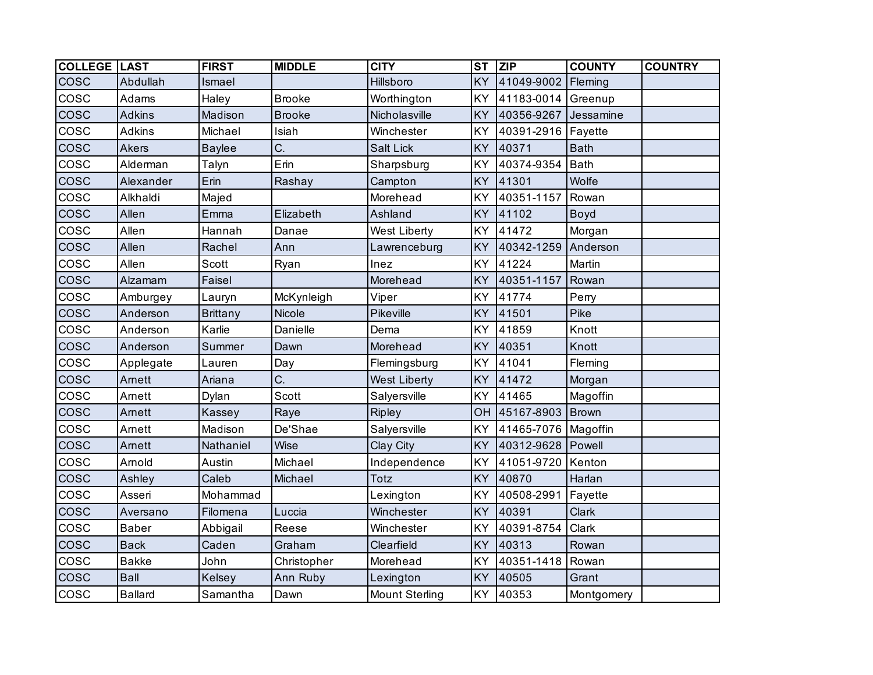| <b>COLLEGE LAST</b> |                | <b>FIRST</b>    | <b>MIDDLE</b> | <b>CITY</b>           | <b>ST</b> | ZIP        | <b>COUNTY</b> | <b>COUNTRY</b> |
|---------------------|----------------|-----------------|---------------|-----------------------|-----------|------------|---------------|----------------|
| COSC                | Abdullah       | Ismael          |               | Hillsboro             | <b>KY</b> | 41049-9002 | Fleming       |                |
| COSC                | Adams          | Haley           | <b>Brooke</b> | Worthington           | KY        | 41183-0014 | Greenup       |                |
| <b>COSC</b>         | <b>Adkins</b>  | Madison         | <b>Brooke</b> | Nicholasville         | <b>KY</b> | 40356-9267 | Jessamine     |                |
| cosc                | Adkins         | Michael         | Isiah         | Winchester            | KY        | 40391-2916 | Fayette       |                |
| COSC                | Akers          | Baylee          | C.            | <b>Salt Lick</b>      | KY        | 40371      | <b>Bath</b>   |                |
| cosc                | Alderman       | Talyn           | Erin          | Sharpsburg            | KY        | 40374-9354 | Bath          |                |
| <b>COSC</b>         | Alexander      | Erin            | Rashay        | Campton               | KY        | 41301      | Wolfe         |                |
| cosc                | Alkhaldi       | Majed           |               | Morehead              | KY        | 40351-1157 | Rowan         |                |
| <b>COSC</b>         | Allen          | Emma            | Elizabeth     | Ashland               | KY        | 41102      | <b>Boyd</b>   |                |
| cosc                | Allen          | Hannah          | Danae         | <b>West Liberty</b>   | KY        | 41472      | Morgan        |                |
| <b>COSC</b>         | Allen          | Rachel          | Ann           | Lawrenceburg          | KY        | 40342-1259 | Anderson      |                |
| COSC                | Allen          | Scott           | Ryan          | Inez                  | KY        | 41224      | Martin        |                |
| <b>COSC</b>         | Alzamam        | Faisel          |               | Morehead              | <b>KY</b> | 40351-1157 | Rowan         |                |
| cosc                | Amburgey       | Lauryn          | McKynleigh    | Viper                 | KY        | 41774      | Perry         |                |
| cosc                | Anderson       | <b>Brittany</b> | Nicole        | Pikeville             | KY        | 41501      | Pike          |                |
| COSC                | Anderson       | Karlie          | Danielle      | Dema                  | KY        | 41859      | Knott         |                |
| <b>COSC</b>         | Anderson       | Summer          | Dawn          | Morehead              | KY        | 40351      | Knott         |                |
| cosc                | Applegate      | Lauren          | Day           | Flemingsburg          | KY        | 41041      | Fleming       |                |
| <b>COSC</b>         | Arnett         | Ariana          | C.            | <b>West Liberty</b>   | KY        | 41472      | Morgan        |                |
| COSC                | Arnett         | Dylan           | Scott         | Salyersville          | KY        | 41465      | Magoffin      |                |
| <b>COSC</b>         | Arnett         | Kassey          | Raye          | Ripley                | OH        | 45167-8903 | <b>Brown</b>  |                |
| cosc                | Arnett         | Madison         | De'Shae       | Salyersville          | KY        | 41465-7076 | Magoffin      |                |
| <b>COSC</b>         | Arnett         | Nathaniel       | Wise          | Clay City             | KY        | 40312-9628 | Powell        |                |
| cosc                | Arnold         | Austin          | Michael       | Independence          | KY        | 41051-9720 | Kenton        |                |
| <b>COSC</b>         | Ashley         | Caleb           | Michael       | Totz                  | KY        | 40870      | Harlan        |                |
| COSC                | Asseri         | Mohammad        |               | Lexington             | KY        | 40508-2991 | Fayette       |                |
| <b>COSC</b>         | Aversano       | Filomena        | Luccia        | Winchester            | KY        | 40391      | <b>Clark</b>  |                |
| <b>COSC</b>         | <b>Baber</b>   | Abbigail        | Reese         | Winchester            | KY        | 40391-8754 | Clark         |                |
| cosc                | <b>Back</b>    | Caden           | Graham        | Clearfield            | KY        | 40313      | Rowan         |                |
| COSC                | <b>Bakke</b>   | John            | Christopher   | Morehead              | KY        | 40351-1418 | Rowan         |                |
| cosc                | <b>Ball</b>    | Kelsey          | Ann Ruby      | Lexington             | KY        | 40505      | Grant         |                |
| cosc                | <b>Ballard</b> | Samantha        | Dawn          | <b>Mount Sterling</b> | KY        | 40353      | Montgomery    |                |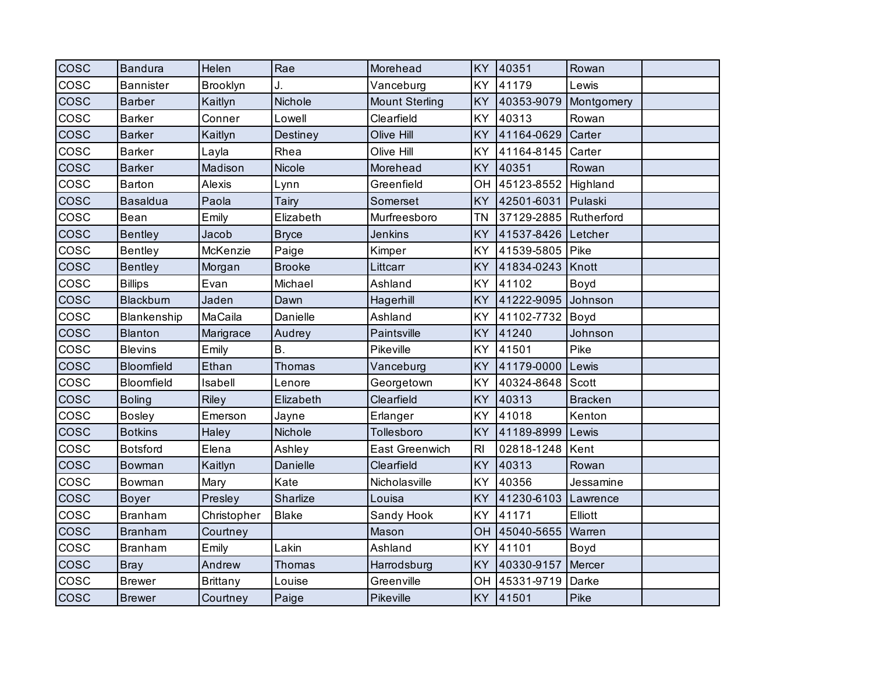| cosc        | <b>Bandura</b>    | Helen           | Rae           | Morehead              | KY        | 40351      | Rowan          |  |
|-------------|-------------------|-----------------|---------------|-----------------------|-----------|------------|----------------|--|
| cosc        | Bannister         | Brooklyn        | J.            | Vanceburg             | KY        | 41179      | Lewis          |  |
| cosc        | <b>Barber</b>     | Kaitlyn         | Nichole       | <b>Mount Sterling</b> | KY        | 40353-9079 | Montgomery     |  |
| COSC        | <b>Barker</b>     | Conner          | Lowell        | Clearfield            | KY        | 40313      | Rowan          |  |
| <b>COSC</b> | <b>Barker</b>     | Kaitlyn         | Destiney      | Olive Hill            | KY        | 41164-0629 | Carter         |  |
| COSC        | <b>Barker</b>     | Layla           | Rhea          | Olive Hill            | KY        | 41164-8145 | Carter         |  |
| <b>COSC</b> | <b>Barker</b>     | Madison         | Nicole        | Morehead              | KY        | 40351      | Rowan          |  |
| COSC        | Barton            | Alexis          | Lynn          | Greenfield            | OH        | 45123-8552 | Highland       |  |
| <b>COSC</b> | <b>Basaldua</b>   | Paola           | Tairy         | Somerset              | KY        | 42501-6031 | Pulaski        |  |
| <b>COSC</b> | Bean              | Emily           | Elizabeth     | Murfreesboro          | <b>TN</b> | 37129-2885 | Rutherford     |  |
| <b>COSC</b> | <b>Bentley</b>    | Jacob           | <b>Bryce</b>  | <b>Jenkins</b>        | KY        | 41537-8426 | Letcher        |  |
| COSC        | <b>Bentley</b>    | McKenzie        | Paige         | Kimper                | KY        | 41539-5805 | Pike           |  |
| cosc        | <b>Bentley</b>    | Morgan          | <b>Brooke</b> | Littcarr              | KY        | 41834-0243 | Knott          |  |
| <b>COSC</b> | <b>Billips</b>    | Evan            | Michael       | Ashland               | KY        | 41102      | Boyd           |  |
| cosc        | Blackburn         | Jaden           | Dawn          | Hagerhill             | KY        | 41222-9095 | Johnson        |  |
| COSC        | Blankenship       | MaCaila         | Danielle      | Ashland               | KY        | 41102-7732 | Boyd           |  |
| cosc        | <b>Blanton</b>    | Marigrace       | Audrey        | Paintsville           | KY        | 41240      | Johnson        |  |
| cosc        | <b>Blevins</b>    | Emily           | <b>B.</b>     | Pikeville             | KY        | 41501      | Pike           |  |
| <b>COSC</b> | <b>Bloomfield</b> | Ethan           | Thomas        | Vanceburg             | KY        | 41179-0000 | Lewis          |  |
| COSC        | Bloomfield        | Isabell         | Lenore        | Georgetown            | KY        | 40324-8648 | Scott          |  |
| COSC        | <b>Boling</b>     | <b>Riley</b>    | Elizabeth     | Clearfield            | KY        | 40313      | <b>Bracken</b> |  |
| cosc        | <b>Bosley</b>     | Emerson         | Jayne         | Erlanger              | KY        | 41018      | Kenton         |  |
| cosc        | <b>Botkins</b>    | Haley           | Nichole       | Tollesboro            | KY        | 41189-8999 | Lewis          |  |
| COSC        | <b>Botsford</b>   | Elena           | Ashley        | <b>East Greenwich</b> | RI        | 02818-1248 | Kent           |  |
| cosc        | Bowman            | Kaitlyn         | Danielle      | Clearfield            | KY        | 40313      | Rowan          |  |
| COSC        | Bowman            | Mary            | Kate          | Nicholasville         | KY        | 40356      | Jessamine      |  |
| <b>COSC</b> | <b>Boyer</b>      | Presley         | Sharlize      | Louisa                | KY        | 41230-6103 | Lawrence       |  |
| COSC        | <b>Branham</b>    | Christopher     | <b>Blake</b>  | Sandy Hook            | KY        | 41171      | Elliott        |  |
| <b>COSC</b> | <b>Branham</b>    | Courtney        |               | Mason                 | OH        | 45040-5655 | Warren         |  |
| COSC        | <b>Branham</b>    | Emily           | Lakin         | Ashland               | KY        | 41101      | Boyd           |  |
| <b>COSC</b> | <b>Bray</b>       | Andrew          | Thomas        | Harrodsburg           | KY        | 40330-9157 | Mercer         |  |
| cosc        | <b>Brewer</b>     | <b>Brittany</b> | Louise        | Greenville            | OH        | 45331-9719 | Darke          |  |
| <b>COSC</b> | <b>Brewer</b>     | Courtney        | Paige         | Pikeville             |           | KY 41501   | Pike           |  |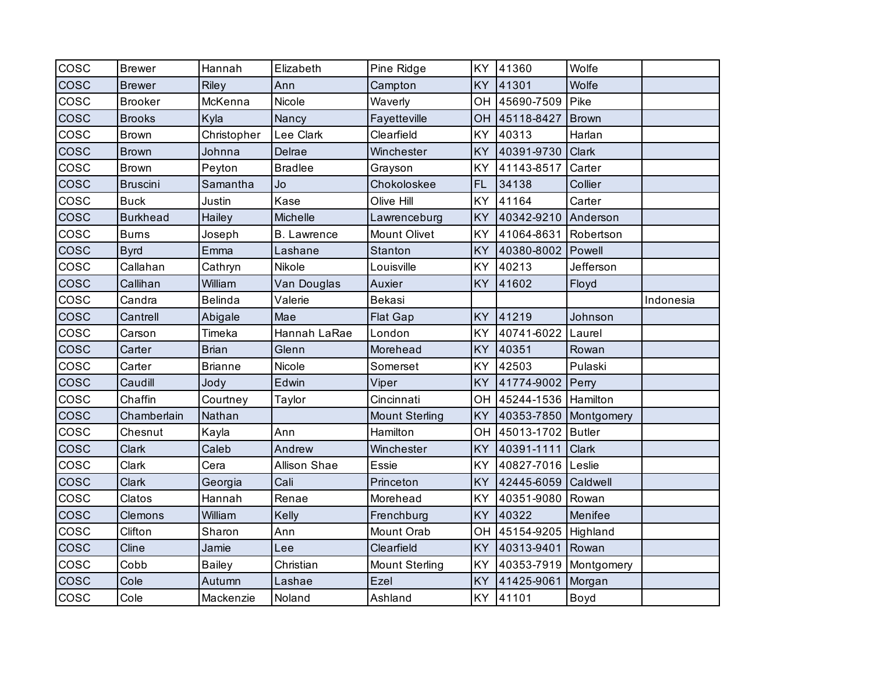| COSC        | <b>Brewer</b>   | Hannah         | Elizabeth          | Pine Ridge            | KY        | 41360      | Wolfe         |           |
|-------------|-----------------|----------------|--------------------|-----------------------|-----------|------------|---------------|-----------|
| <b>COSC</b> | <b>Brewer</b>   | <b>Riley</b>   | Ann                | Campton               | KY        | 41301      | Wolfe         |           |
| cosc        | <b>Brooker</b>  | McKenna        | Nicole             | Waverly               | <b>OH</b> | 45690-7509 | Pike          |           |
| cosc        | <b>Brooks</b>   | Kyla           | Nancy              | Fayetteville          | <b>OH</b> | 45118-8427 | <b>Brown</b>  |           |
| COSC        | <b>Brown</b>    | Christopher    | Lee Clark          | Clearfield            | KY        | 40313      | Harlan        |           |
| cosc        | <b>Brown</b>    | Johnna         | Delrae             | Winchester            | KY        | 40391-9730 | Clark         |           |
| COSC        | <b>Brown</b>    | Peyton         | <b>Bradlee</b>     | Grayson               | KY        | 41143-8517 | Carter        |           |
| cosc        | <b>Bruscini</b> | Samantha       | Jo                 | Chokoloskee           | FL.       | 34138      | Collier       |           |
| COSC        | <b>Buck</b>     | Justin         | Kase               | Olive Hill            | KY        | 41164      | Carter        |           |
| cosc        | <b>Burkhead</b> | Hailey         | Michelle           | Lawrenceburg          | KY        | 40342-9210 | Anderson      |           |
| cosc        | <b>Burns</b>    | Joseph         | <b>B.</b> Lawrence | <b>Mount Olivet</b>   | KY        | 41064-8631 | Robertson     |           |
| <b>COSC</b> | <b>Byrd</b>     | Emma           | Lashane            | Stanton               | KY        | 40380-8002 | Powell        |           |
| COSC        | Callahan        | Cathryn        | Nikole             | Louisville            | KY        | 40213      | Jefferson     |           |
| <b>COSC</b> | Callihan        | William        | Van Douglas        | Auxier                | KY        | 41602      | Floyd         |           |
| cosc        | Candra          | <b>Belinda</b> | Valerie            | Bekasi                |           |            |               | Indonesia |
| cosc        | Cantrell        | Abigale        | Mae                | <b>Flat Gap</b>       | <b>KY</b> | 41219      | Johnson       |           |
| <b>COSC</b> | Carson          | Timeka         | Hannah LaRae       | London                | KY        | 40741-6022 | Laurel        |           |
| cosc        | Carter          | <b>Brian</b>   | Glenn              | Morehead              | KY        | 40351      | Rowan         |           |
| cosc        | Carter          | <b>Brianne</b> | Nicole             | Somerset              | KY        | 42503      | Pulaski       |           |
| cosc        | Caudill         | Jody           | Edwin              | Viper                 | KY        | 41774-9002 | Perry         |           |
| cosc        | Chaffin         | Courtney       | Taylor             | Cincinnati            | OH        | 45244-1536 | Hamilton      |           |
| <b>COSC</b> | Chamberlain     | Nathan         |                    | <b>Mount Sterling</b> | KY        | 40353-7850 | Montgomery    |           |
| cosc        | Chesnut         | Kayla          | Ann                | Hamilton              | OH        | 45013-1702 | <b>Butler</b> |           |
| COSC        | <b>Clark</b>    | Caleb          | Andrew             | Winchester            | <b>KY</b> | 40391-1111 | Clark         |           |
| cosc        | Clark           | Cera           | Allison Shae       | <b>Essie</b>          | KY        | 40827-7016 | Leslie        |           |
| cosc        | Clark           | Georgia        | Cali               | Princeton             | <b>KY</b> | 42445-6059 | Caldwell      |           |
| cosc        | Clatos          | Hannah         | Renae              | Morehead              | KY        | 40351-9080 | Rowan         |           |
| <b>COSC</b> | Clemons         | William        | Kelly              | Frenchburg            | KY        | 40322      | Menifee       |           |
| COSC        | Clifton         | Sharon         | Ann                | Mount Orab            | OH        | 45154-9205 | Highland      |           |
| cosc        | Cline           | Jamie          | Lee                | Clearfield            | KY        | 40313-9401 | Rowan         |           |
| COSC        | Cobb            | Bailey         | Christian          | <b>Mount Sterling</b> | KY        | 40353-7919 | Montgomery    |           |
| <b>COSC</b> | Cole            | Autumn         | Lashae             | Ezel                  | KY        | 41425-9061 | Morgan        |           |
| cosc        | Cole            | Mackenzie      | Noland             | Ashland               | <b>KY</b> | 41101      | Boyd          |           |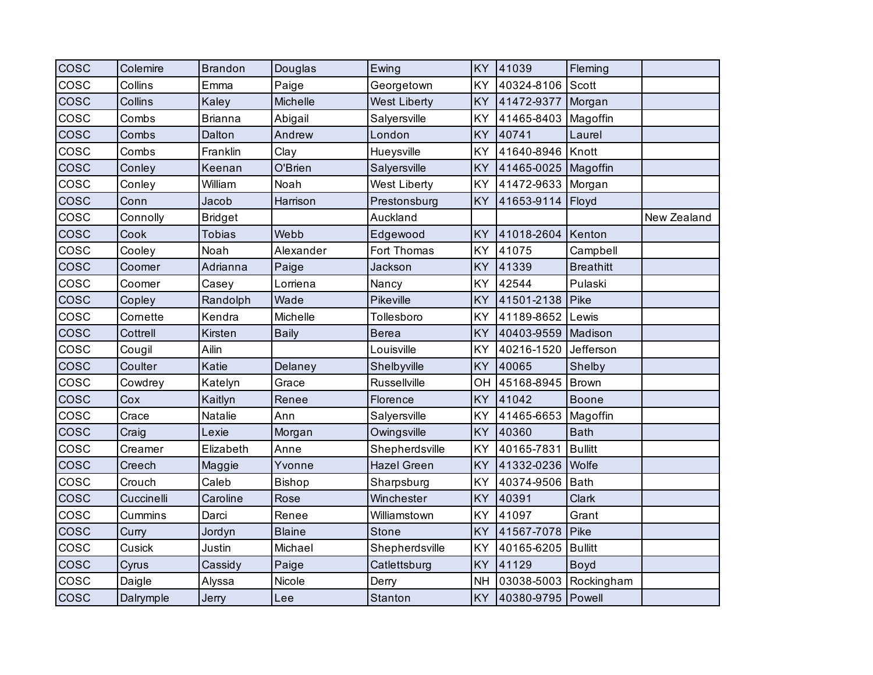| <b>COSC</b> | Colemire   | <b>Brandon</b> | Douglas       | Ewing               | KY        | 41039      | Fleming          |             |
|-------------|------------|----------------|---------------|---------------------|-----------|------------|------------------|-------------|
| <b>COSC</b> | Collins    | Emma           | Paige         | Georgetown          | KY        | 40324-8106 | Scott            |             |
| <b>COSC</b> | Collins    | Kaley          | Michelle      | <b>West Liberty</b> | <b>KY</b> | 41472-9377 | Morgan           |             |
| COSC        | Combs      | Brianna        | Abigail       | Salyersville        | KY        | 41465-8403 | Magoffin         |             |
| <b>COSC</b> | Combs      | Dalton         | Andrew        | London              | KY        | 40741      | Laurel           |             |
| cosc        | Combs      | Franklin       | Clay          | Hueysville          | KY        | 41640-8946 | Knott            |             |
| <b>COSC</b> | Conley     | Keenan         | O'Brien       | Salyersville        | KY        | 41465-0025 | Magoffin         |             |
| COSC        | Conley     | William        | Noah          | West Liberty        | KY        | 41472-9633 | Morgan           |             |
| <b>COSC</b> | Conn       | Jacob          | Harrison      | Prestonsburg        | <b>KY</b> | 41653-9114 | Floyd            |             |
| COSC        | Connolly   | <b>Bridget</b> |               | Auckland            |           |            |                  | New Zealand |
| <b>COSC</b> | Cook       | <b>Tobias</b>  | Webb          | Edgewood            | KY        | 41018-2604 | Kenton           |             |
| COSC        | Cooley     | Noah           | Alexander     | Fort Thomas         | KY        | 41075      | Campbell         |             |
| COSC        | Coomer     | Adrianna       | Paige         | Jackson             | <b>KY</b> | 41339      | <b>Breathitt</b> |             |
| COSC        | Coomer     | Casey          | Lorriena      | Nancy               | KY        | 42544      | Pulaski          |             |
| <b>COSC</b> | Copley     | Randolph       | Wade          | Pikeville           | <b>KY</b> | 41501-2138 | Pike             |             |
| COSC        | Cornette   | Kendra         | Michelle      | Tollesboro          | KY        | 41189-8652 | Lewis            |             |
| <b>COSC</b> | Cottrell   | Kirsten        | <b>Baily</b>  | <b>Berea</b>        | <b>KY</b> | 40403-9559 | Madison          |             |
| cosc        | Cougil     | Ailin          |               | Louisville          | KY        | 40216-1520 | Jefferson        |             |
| <b>COSC</b> | Coulter    | Katie          | Delaney       | Shelbyville         | KY        | 40065      | Shelby           |             |
| COSC        | Cowdrey    | Katelyn        | Grace         | Russellville        | OH        | 45168-8945 | <b>Brown</b>     |             |
| <b>COSC</b> | Cox        | Kaitlyn        | Renee         | Florence            | <b>KY</b> | 41042      | <b>Boone</b>     |             |
| cosc        | Crace      | Natalie        | Ann           | Salyersville        | KY        | 41465-6653 | Magoffin         |             |
| <b>COSC</b> | Craig      | Lexie          | Morgan        | Owingsville         | KY        | 40360      | <b>Bath</b>      |             |
| COSC        | Creamer    | Elizabeth      | Anne          | Shepherdsville      | KY        | 40165-7831 | <b>Bullitt</b>   |             |
| <b>COSC</b> | Creech     | Maggie         | Yvonne        | <b>Hazel Green</b>  | KY        | 41332-0236 | Wolfe            |             |
| cosc        | Crouch     | Caleb          | Bishop        | Sharpsburg          | <b>KY</b> | 40374-9506 | <b>Bath</b>      |             |
| COSC        | Cuccinelli | Caroline       | Rose          | Winchester          | <b>KY</b> | 40391      | <b>Clark</b>     |             |
| COSC        | Cummins    | Darci          | Renee         | Williamstown        | KY        | 41097      | Grant            |             |
| <b>COSC</b> | Curry      | Jordyn         | <b>Blaine</b> | Stone               | <b>KY</b> | 41567-7078 | Pike             |             |
| cosc        | Cusick     | Justin         | Michael       | Shepherdsville      | KY        | 40165-6205 | <b>Bullitt</b>   |             |
| COSC        | Cyrus      | Cassidy        | Paige         | Catlettsburg        | <b>KY</b> | 41129      | Boyd             |             |
| COSC        | Daigle     | Alyssa         | Nicole        | Derry               | <b>NH</b> | 03038-5003 | Rockingham       |             |
| cosc        | Dalrymple  | Jerry          | Lee           | Stanton             | <b>KY</b> | 40380-9795 | Powell           |             |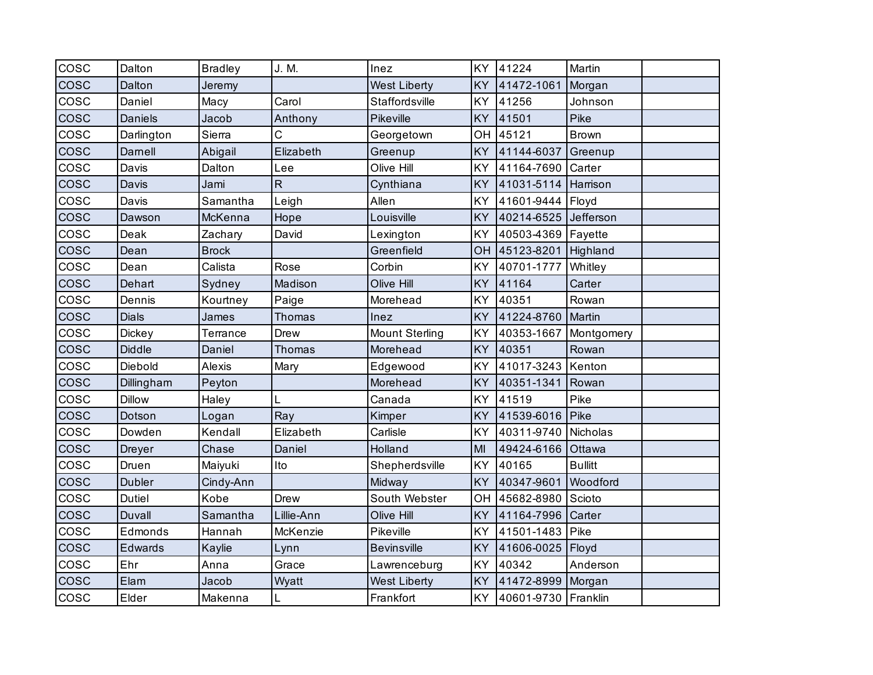| cosc        | Dalton         | <b>Bradley</b> | J. M.       | Inez                  | KY        | 41224               | Martin         |  |
|-------------|----------------|----------------|-------------|-----------------------|-----------|---------------------|----------------|--|
| <b>COSC</b> | Dalton         | Jeremy         |             | <b>West Liberty</b>   | <b>KY</b> | 41472-1061          | Morgan         |  |
| <b>COSC</b> | Daniel         | Macy           | Carol       | Staffordsville        | KY        | 41256               | Johnson        |  |
| cosc        | <b>Daniels</b> | Jacob          | Anthony     | Pikeville             | KY        | 41501               | Pike           |  |
| COSC        | Darlington     | Sierra         | С           | Georgetown            | OH        | 45121               | <b>Brown</b>   |  |
| <b>COSC</b> | Darnell        | Abigail        | Elizabeth   | Greenup               | KY        | 41144-6037          | Greenup        |  |
| <b>COSC</b> | Davis          | Dalton         | Lee         | Olive Hill            | KY        | 41164-7690          | Carter         |  |
| <b>COSC</b> | Davis          | Jami           | R           | Cynthiana             | KY        | 41031-5114          | Harrison       |  |
| COSC        | Davis          | Samantha       | Leigh       | Allen                 | KY        | 41601-9444          | Floyd          |  |
| <b>COSC</b> | Dawson         | McKenna        | Hope        | Louisville            | <b>KY</b> | 40214-6525          | Jefferson      |  |
| cosc        | Deak           | Zachary        | David       | Lexington             | KY        | 40503-4369          | Fayette        |  |
| COSC        | Dean           | <b>Brock</b>   |             | Greenfield            | OH        | 45123-8201          | Highland       |  |
| COSC        | Dean           | Calista        | Rose        | Corbin                | KY        | 40701-1777          | Whitley        |  |
| <b>COSC</b> | Dehart         | Sydney         | Madison     | Olive Hill            | KY        | 41164               | Carter         |  |
| <b>COSC</b> | Dennis         | Kourtney       | Paige       | Morehead              | KY        | 40351               | Rowan          |  |
| <b>COSC</b> | <b>Dials</b>   | James          | Thomas      | Inez                  | KY        | 41224-8760          | Martin         |  |
| cosc        | <b>Dickey</b>  | Terrance       | <b>Drew</b> | <b>Mount Sterling</b> | KY        | 40353-1667          | Montgomery     |  |
| <b>COSC</b> | <b>Diddle</b>  | Daniel         | Thomas      | Morehead              | KY        | 40351               | Rowan          |  |
| cosc        | Diebold        | Alexis         | Mary        | Edgewood              | KY        | 41017-3243          | Kenton         |  |
| COSC        | Dillingham     | Peyton         |             | Morehead              | KY        | 40351-1341          | Rowan          |  |
| cosc        | <b>Dillow</b>  | Haley          | L           | Canada                | KY        | 41519               | Pike           |  |
| <b>COSC</b> | Dotson         | Logan          | Ray         | Kimper                | <b>KY</b> | 41539-6016          | Pike           |  |
| cosc        | Dowden         | Kendall        | Elizabeth   | Carlisle              | KY        | 40311-9740          | Nicholas       |  |
| COSC        | Dreyer         | Chase          | Daniel      | Holland               | MI        | 49424-6166          | Ottawa         |  |
| cosc        | Druen          | Maiyuki        | Ito         | Shepherdsville        | KY        | 40165               | <b>Bullitt</b> |  |
| cosc        | <b>Dubler</b>  | Cindy-Ann      |             | Midway                | KY        | 40347-9601          | Woodford       |  |
| COSC        | <b>Dutiel</b>  | Kobe           | <b>Drew</b> | South Webster         | OH        | 45682-8980          | Scioto         |  |
| COSC        | Duvall         | Samantha       | Lillie-Ann  | Olive Hill            | KY        | 41164-7996          | Carter         |  |
| COSC        | Edmonds        | Hannah         | McKenzie    | Pikeville             | KY        | 41501-1483          | Pike           |  |
| cosc        | Edwards        | Kaylie         | Lynn        | <b>Bevinsville</b>    | KY        | 41606-0025          | Floyd          |  |
| COSC        | Ehr            | Anna           | Grace       | Lawrenceburg          | KY        | 40342               | Anderson       |  |
| <b>COSC</b> | Elam           | Jacob          | Wyatt       | <b>West Liberty</b>   | KY        | 41472-8999          | Morgan         |  |
| cosc        | Elder          | Makenna        |             | Frankfort             | <b>KY</b> | 40601-9730 Franklin |                |  |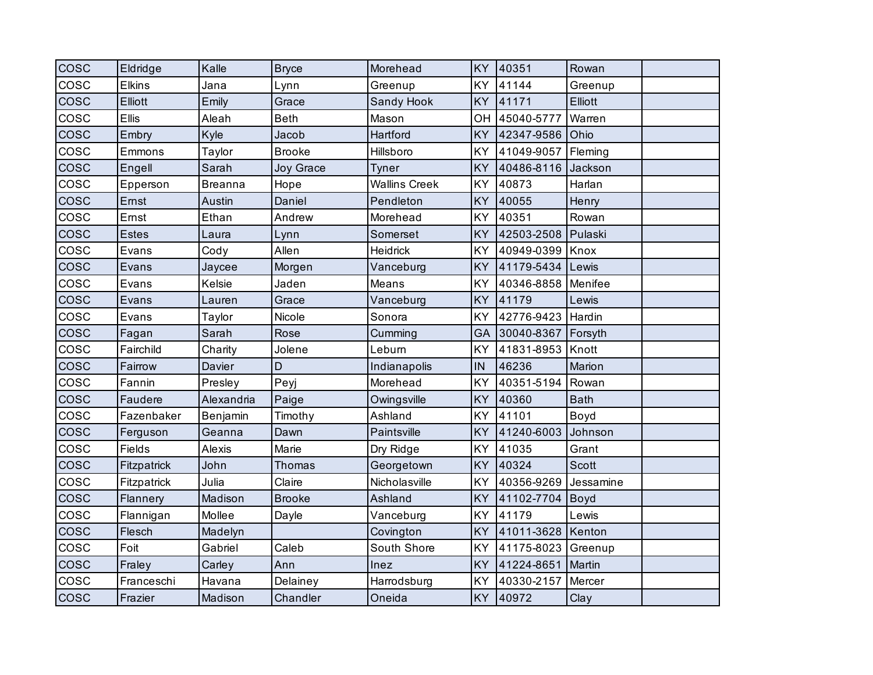| <b>COSC</b> | Eldridge      | Kalle          | <b>Bryce</b>     | Morehead             | KY        | 40351      | Rowan          |  |
|-------------|---------------|----------------|------------------|----------------------|-----------|------------|----------------|--|
| cosc        | <b>Elkins</b> | Jana           | Lynn             | Greenup              | KY        | 41144      | Greenup        |  |
| cosc        | Elliott       | Emily          | Grace            | Sandy Hook           | KY        | 41171      | <b>Elliott</b> |  |
| COSC        | Ellis         | Aleah          | <b>Beth</b>      | Mason                | OH        | 45040-5777 | Warren         |  |
| <b>COSC</b> | Embry         | Kyle           | Jacob            | Hartford             | KY        | 42347-9586 | Ohio           |  |
| <b>COSC</b> | Emmons        | Taylor         | <b>Brooke</b>    | Hillsboro            | KY        | 41049-9057 | Fleming        |  |
| cosc        | Engell        | Sarah          | <b>Joy Grace</b> | Tyner                | <b>KY</b> | 40486-8116 | Jackson        |  |
| cosc        | Epperson      | <b>Breanna</b> | Hope             | <b>Wallins Creek</b> | KY        | 40873      | Harlan         |  |
| <b>COSC</b> | Ernst         | Austin         | Daniel           | Pendleton            | KY        | 40055      | Henry          |  |
| <b>COSC</b> | Ernst         | Ethan          | Andrew           | Morehead             | KY        | 40351      | Rowan          |  |
| cosc        | <b>Estes</b>  | Laura          | Lynn             | Somerset             | KY        | 42503-2508 | Pulaski        |  |
| <b>COSC</b> | Evans         | Cody           | Allen            | <b>Heidrick</b>      | KY        | 40949-0399 | Knox           |  |
| cosc        | Evans         | Jaycee         | Morgen           | Vanceburg            | KY        | 41179-5434 | Lewis          |  |
| <b>COSC</b> | Evans         | Kelsie         | Jaden            | Means                | KY        | 40346-8858 | Menifee        |  |
| cosc        | Evans         | Lauren         | Grace            | Vanceburg            | <b>KY</b> | 41179      | Lewis          |  |
| COSC        | Evans         | Taylor         | Nicole           | Sonora               | KY        | 42776-9423 | Hardin         |  |
| cosc        | Fagan         | Sarah          | Rose             | Cumming              | GA        | 30040-8367 | Forsyth        |  |
| cosc        | Fairchild     | Charity        | Jolene           | Leburn               | KY        | 41831-8953 | Knott          |  |
| cosc        | Fairrow       | Davier         | D                | Indianapolis         | IN        | 46236      | Marion         |  |
| COSC        | Fannin        | Presley        | Peyj             | Morehead             | KY        | 40351-5194 | Rowan          |  |
| <b>COSC</b> | Faudere       | Alexandria     | Paige            | Owingsville          | KY        | 40360      | <b>Bath</b>    |  |
| cosc        | Fazenbaker    | Benjamin       | Timothy          | Ashland              | KY        | 41101      | Boyd           |  |
| cosc        | Ferguson      | Geanna         | Dawn             | Paintsville          | KY        | 41240-6003 | Johnson        |  |
| COSC        | <b>Fields</b> | Alexis         | Marie            | Dry Ridge            | KY        | 41035      | Grant          |  |
| <b>COSC</b> | Fitzpatrick   | John           | Thomas           | Georgetown           | KY        | 40324      | <b>Scott</b>   |  |
| COSC        | Fitzpatrick   | Julia          | Claire           | Nicholasville        | KY        | 40356-9269 | Jessamine      |  |
| cosc        | Flannery      | Madison        | <b>Brooke</b>    | Ashland              | <b>KY</b> | 41102-7704 | <b>Boyd</b>    |  |
| cosc        | Flannigan     | Mollee         | Dayle            | Vanceburg            | KY        | 41179      | Lewis          |  |
| <b>COSC</b> | Flesch        | Madelyn        |                  | Covington            | <b>KY</b> | 41011-3628 | Kenton         |  |
| COSC        | Foit          | Gabriel        | Caleb            | South Shore          | KY        | 41175-8023 | Greenup        |  |
| <b>COSC</b> | Fraley        | Carley         | Ann              | Inez                 | <b>KY</b> | 41224-8651 | Martin         |  |
| cosc        | Franceschi    | Havana         | Delainey         | Harrodsburg          | KY        | 40330-2157 | Mercer         |  |
| cosc        | Frazier       | Madison        | Chandler         | Oneida               | <b>KY</b> | 40972      | <b>Clay</b>    |  |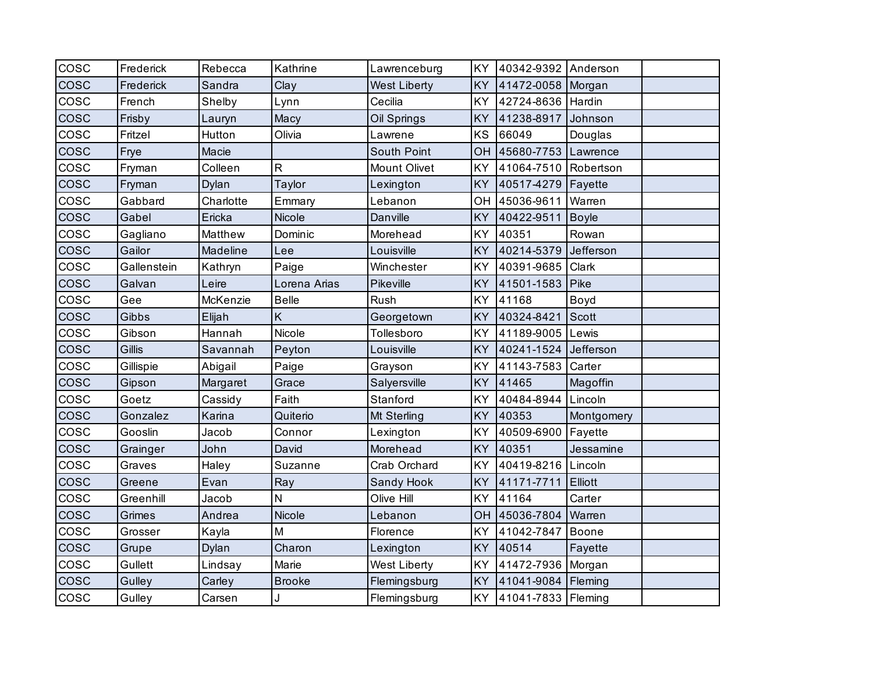| cosc        | Frederick   | Rebecca   | Kathrine      | Lawrenceburg        | <b>KY</b> | 40342-9392 Anderson |              |  |
|-------------|-------------|-----------|---------------|---------------------|-----------|---------------------|--------------|--|
| <b>COSC</b> | Frederick   | Sandra    | Clay          | <b>West Liberty</b> | KY        | 41472-0058          | Morgan       |  |
| COSC        | French      | Shelby    | Lynn          | Cecilia             | KY        | 42724-8636          | Hardin       |  |
| COSC        | Frisby      | Lauryn    | Macy          | Oil Springs         | KY        | 41238-8917          | Johnson      |  |
| COSC        | Fritzel     | Hutton    | Olivia        | Lawrene             | KS        | 66049               | Douglas      |  |
| <b>COSC</b> | Frye        | Macie     |               | South Point         | OH        | 45680-7753          | Lawrence     |  |
| COSC        | Fryman      | Colleen   | $\mathsf{R}$  | <b>Mount Olivet</b> | <b>KY</b> | 41064-7510          | Robertson    |  |
| cosc        | Fryman      | Dylan     | Taylor        | Lexington           | <b>KY</b> | 40517-4279          | Fayette      |  |
| COSC        | Gabbard     | Charlotte | Emmary        | Lebanon             | OH        | 45036-9611          | Warren       |  |
| <b>COSC</b> | Gabel       | Ericka    | Nicole        | Danville            | <b>KY</b> | 40422-9511          | <b>Boyle</b> |  |
| COSC        | Gagliano    | Matthew   | Dominic       | Morehead            | <b>KY</b> | 40351               | Rowan        |  |
| COSC        | Gailor      | Madeline  | Lee           | Louisville          | <b>KY</b> | 40214-5379          | Jefferson    |  |
| COSC        | Gallenstein | Kathryn   | Paige         | Winchester          | KY        | 40391-9685          | Clark        |  |
| <b>COSC</b> | Galvan      | Leire     | Lorena Arias  | Pikeville           | <b>KY</b> | 41501-1583          | Pike         |  |
| cosc        | Gee         | McKenzie  | <b>Belle</b>  | Rush                | KY        | 41168               | Boyd         |  |
| COSC        | Gibbs       | Elijah    | K             | Georgetown          | KY        | 40324-8421          | <b>Scott</b> |  |
| cosc        | Gibson      | Hannah    | Nicole        | Tollesboro          | KY        | 41189-9005          | Lewis        |  |
| <b>COSC</b> | Gillis      | Savannah  | Peyton        | Louisville          | <b>KY</b> | 40241-1524          | Jefferson    |  |
| cosc        | Gillispie   | Abigail   | Paige         | Grayson             | KY        | 41143-7583          | Carter       |  |
| <b>COSC</b> | Gipson      | Margaret  | Grace         | Salyersville        | KY        | 41465               | Magoffin     |  |
| cosc        | Goetz       | Cassidy   | Faith         | Stanford            | KY        | 40484-8944          | Lincoln      |  |
| <b>COSC</b> | Gonzalez    | Karina    | Quiterio      | Mt Sterling         | KY        | 40353               | Montgomery   |  |
| cosc        | Gooslin     | Jacob     | Connor        | Lexington           | KY        | 40509-6900          | Fayette      |  |
| <b>COSC</b> | Grainger    | John      | David         | Morehead            | KY        | 40351               | Jessamine    |  |
| cosc        | Graves      | Haley     | Suzanne       | Crab Orchard        | KY        | 40419-8216          | Lincoln      |  |
| cosc        | Greene      | Evan      | Ray           | Sandy Hook          | <b>KY</b> | 41171-7711          | Elliott      |  |
| COSC        | Greenhill   | Jacob     | N             | Olive Hill          | KY        | 41164               | Carter       |  |
| COSC        | Grimes      | Andrea    | Nicole        | Lebanon             | OH        | 45036-7804          | Warren       |  |
| COSC        | Grosser     | Kayla     | M             | Florence            | KY        | 41042-7847          | Boone        |  |
| <b>COSC</b> | Grupe       | Dylan     | Charon        | Lexington           | KY        | 40514               | Fayette      |  |
| cosc        | Gullett     | Lindsay   | Marie         | West Liberty        | <b>KY</b> | 41472-7936          | Morgan       |  |
| <b>COSC</b> | Gulley      | Carley    | <b>Brooke</b> | Flemingsburg        | KY        | 41041-9084          | Fleming      |  |
| cosc        | Gulley      | Carsen    | J             | Flemingsburg        | KY        | 41041-7833 Fleming  |              |  |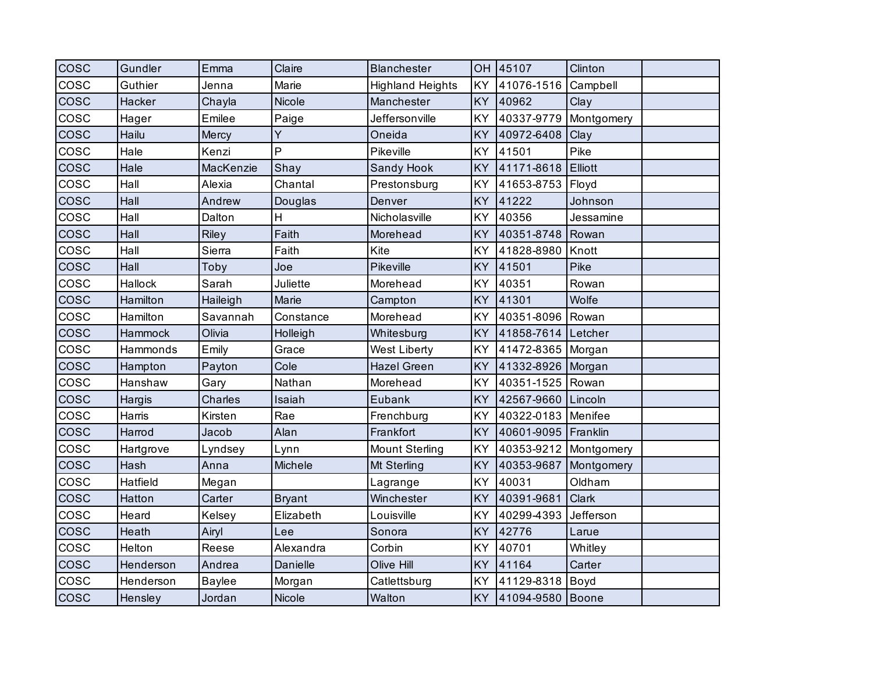| <b>COSC</b> | Gundler   | Emma          | Claire        | <b>Blanchester</b>      | OH        | 45107      | Clinton    |  |
|-------------|-----------|---------------|---------------|-------------------------|-----------|------------|------------|--|
| <b>COSC</b> | Guthier   | Jenna         | Marie         | <b>Highland Heights</b> | KY        | 41076-1516 | Campbell   |  |
| <b>COSC</b> | Hacker    | Chayla        | <b>Nicole</b> | Manchester              | KY        | 40962      | Clay       |  |
| cosc        | Hager     | Emilee        | Paige         | Jeffersonville          | KY        | 40337-9779 | Montgomery |  |
| <b>COSC</b> | Hailu     | Mercy         | Y             | Oneida                  | KY        | 40972-6408 | Clay       |  |
| cosc        | Hale      | Kenzi         | P             | Pikeville               | KY        | 41501      | Pike       |  |
| cosc        | Hale      | MacKenzie     | Shay          | Sandy Hook              | KY        | 41171-8618 | Elliott    |  |
| COSC        | Hall      | Alexia        | Chantal       | Prestonsburg            | KY        | 41653-8753 | Floyd      |  |
| <b>COSC</b> | Hall      | Andrew        | Douglas       | Denver                  | <b>KY</b> | 41222      | Johnson    |  |
| cosc        | Hall      | Dalton        | H             | Nicholasville           | KY        | 40356      | Jessamine  |  |
| cosc        | Hall      | <b>Riley</b>  | Faith         | Morehead                | <b>KY</b> | 40351-8748 | Rowan      |  |
| cosc        | Hall      | Sierra        | Faith         | Kite                    | KY        | 41828-8980 | Knott      |  |
| <b>COSC</b> | Hall      | Toby          | Joe           | Pikeville               | <b>KY</b> | 41501      | Pike       |  |
| <b>COSC</b> | Hallock   | Sarah         | Juliette      | Morehead                | KY        | 40351      | Rowan      |  |
| cosc        | Hamilton  | Haileigh      | Marie         | Campton                 | KY        | 41301      | Wolfe      |  |
| COSC        | Hamilton  | Savannah      | Constance     | Morehead                | KY        | 40351-8096 | Rowan      |  |
| <b>COSC</b> | Hammock   | Olivia        | Holleigh      | Whitesburg              | KY        | 41858-7614 | Letcher    |  |
| <b>COSC</b> | Hammonds  | Emily         | Grace         | <b>West Liberty</b>     | KY        | 41472-8365 | Morgan     |  |
| cosc        | Hampton   | Payton        | Cole          | <b>Hazel Green</b>      | <b>KY</b> | 41332-8926 | Morgan     |  |
| <b>COSC</b> | Hanshaw   | Gary          | Nathan        | Morehead                | KY        | 40351-1525 | Rowan      |  |
| cosc        | Hargis    | Charles       | Isaiah        | Eubank                  | KY        | 42567-9660 | Lincoln    |  |
| cosc        | Harris    | Kirsten       | Rae           | Frenchburg              | KY        | 40322-0183 | Menifee    |  |
| <b>COSC</b> | Harrod    | Jacob         | Alan          | Frankfort               | KY        | 40601-9095 | Franklin   |  |
| cosc        | Hartgrove | Lyndsey       | Lynn          | <b>Mount Sterling</b>   | KY        | 40353-9212 | Montgomery |  |
| <b>COSC</b> | Hash      | Anna          | Michele       | Mt Sterling             | KY        | 40353-9687 | Montgomery |  |
| cosc        | Hatfield  | Megan         |               | Lagrange                | KY        | 40031      | Oldham     |  |
| <b>COSC</b> | Hatton    | Carter        | <b>Bryant</b> | Winchester              | <b>KY</b> | 40391-9681 | Clark      |  |
| cosc        | Heard     | Kelsey        | Elizabeth     | Louisville              | KY        | 40299-4393 | Jefferson  |  |
| cosc        | Heath     | Airyl         | Lee           | Sonora                  | KY        | 42776      | Larue      |  |
| COSC        | Helton    | Reese         | Alexandra     | Corbin                  | KY        | 40701      | Whitley    |  |
| <b>COSC</b> | Henderson | Andrea        | Danielle      | Olive Hill              | KY        | 41164      | Carter     |  |
| COSC        | Henderson | <b>Baylee</b> | Morgan        | Catlettsburg            | KY        | 41129-8318 | Boyd       |  |
| cosc        | Hensley   | Jordan        | Nicole        | Walton                  | <b>KY</b> | 41094-9580 | Boone      |  |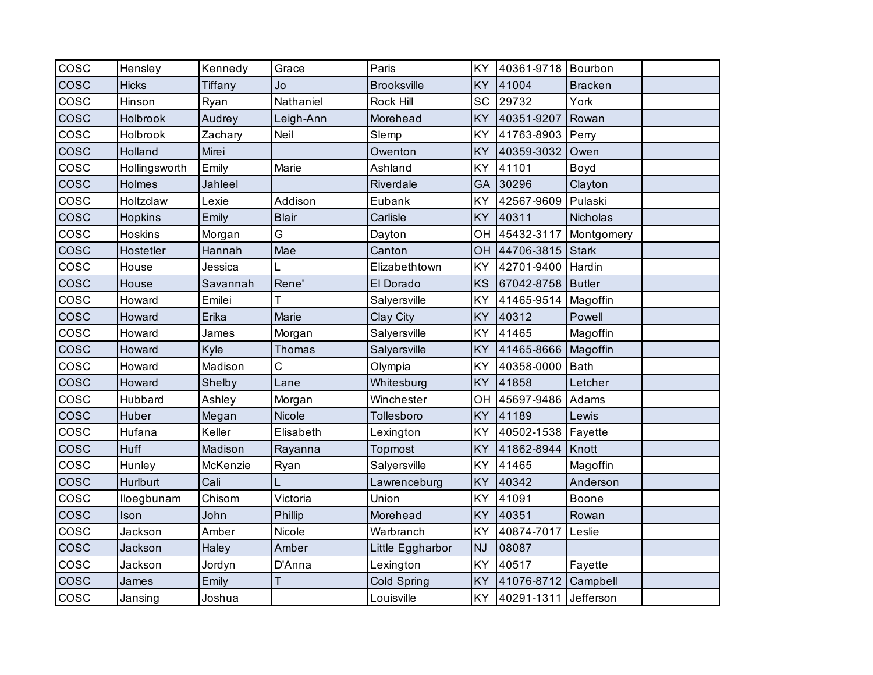| cosc        | Hensley       | Kennedy        | Grace        | Paris              | KY        | 40361-9718 Bourbon   |                |  |
|-------------|---------------|----------------|--------------|--------------------|-----------|----------------------|----------------|--|
| <b>COSC</b> | <b>Hicks</b>  | <b>Tiffany</b> | Jo           | <b>Brooksville</b> | KY        | 41004                | <b>Bracken</b> |  |
| cosc        | Hinson        | Ryan           | Nathaniel    | Rock Hill          | SC        | 29732                | York           |  |
| COSC        | Holbrook      | Audrey         | Leigh-Ann    | Morehead           | KY        | 40351-9207           | Rowan          |  |
| COSC        | Holbrook      | Zachary        | Neil         | Slemp              | KY        | 41763-8903           | Perry          |  |
| <b>COSC</b> | Holland       | Mirei          |              | Owenton            | KY        | 40359-3032           | Owen           |  |
| COSC        | Hollingsworth | Emily          | Marie        | Ashland            | KY        | 41101                | Boyd           |  |
| cosc        | Holmes        | Jahleel        |              | Riverdale          | GA        | 30296                | Clayton        |  |
| COSC        | Holtzclaw     | Lexie          | Addison      | Eubank             | KY        | 42567-9609           | Pulaski        |  |
| <b>COSC</b> | Hopkins       | Emily          | <b>Blair</b> | Carlisle           | KY        | 40311                | Nicholas       |  |
| cosc        | Hoskins       | Morgan         | Ġ            | Dayton             | OH        | 45432-3117           | Montgomery     |  |
| COSC        | Hostetler     | Hannah         | Mae          | Canton             | OH        | 44706-3815           | <b>Stark</b>   |  |
| COSC        | House         | Jessica        | L            | Elizabethtown      | KY        | 42701-9400           | Hardin         |  |
| <b>COSC</b> | House         | Savannah       | Rene'        | El Dorado          | KS        | 67042-8758           | <b>Butler</b>  |  |
| cosc        | Howard        | Emilei         | T            | Salyersville       | KY        | 41465-9514           | Magoffin       |  |
| <b>COSC</b> | Howard        | Erika          | Marie        | Clay City          | KY        | 40312                | Powell         |  |
| cosc        | Howard        | James          | Morgan       | Salyersville       | KY        | 41465                | Magoffin       |  |
| cosc        | Howard        | Kyle           | Thomas       | Salyersville       | KY        | 41465-8666           | Magoffin       |  |
| cosc        | Howard        | Madison        | C            | Olympia            | KY        | 40358-0000           | <b>Bath</b>    |  |
| <b>COSC</b> | Howard        | Shelby         | Lane         | Whitesburg         | KY        | 41858                | Letcher        |  |
| cosc        | Hubbard       | Ashley         | Morgan       | Winchester         | OH        | 45697-9486           | Adams          |  |
| <b>COSC</b> | Huber         | Megan          | Nicole       | Tollesboro         | KY        | 41189                | Lewis          |  |
| cosc        | Hufana        | Keller         | Elisabeth    | Lexington          | KY        | 40502-1538           | Fayette        |  |
| COSC        | <b>Huff</b>   | Madison        | Rayanna      | Topmost            | KY        | 41862-8944           | Knott          |  |
| cosc        | Hunley        | McKenzie       | Ryan         | Salyersville       | KY        | 41465                | Magoffin       |  |
| cosc        | Hurlburt      | Cali           | L            | Lawrenceburg       | KY        | 40342                | Anderson       |  |
| COSC        | lloegbunam    | Chisom         | Victoria     | Union              | KY        | 41091                | Boone          |  |
| COSC        | Ison          | John           | Phillip      | Morehead           | KY        | 40351                | Rowan          |  |
| COSC        | Jackson       | Amber          | Nicole       | Warbranch          | KY        | 40874-7017           | Leslie         |  |
| cosc        | Jackson       | Haley          | Amber        | Little Eggharbor   | <b>NJ</b> | 08087                |                |  |
| COSC        | Jackson       | Jordyn         | D'Anna       | Lexington          | KY        | 40517                | Fayette        |  |
| COSC        | James         | Emily          | Τ            | Cold Spring        | KY        | 41076-8712           | Campbell       |  |
| cosc        | Jansing       | Joshua         |              | Louisville         | KY        | 40291-1311 Jefferson |                |  |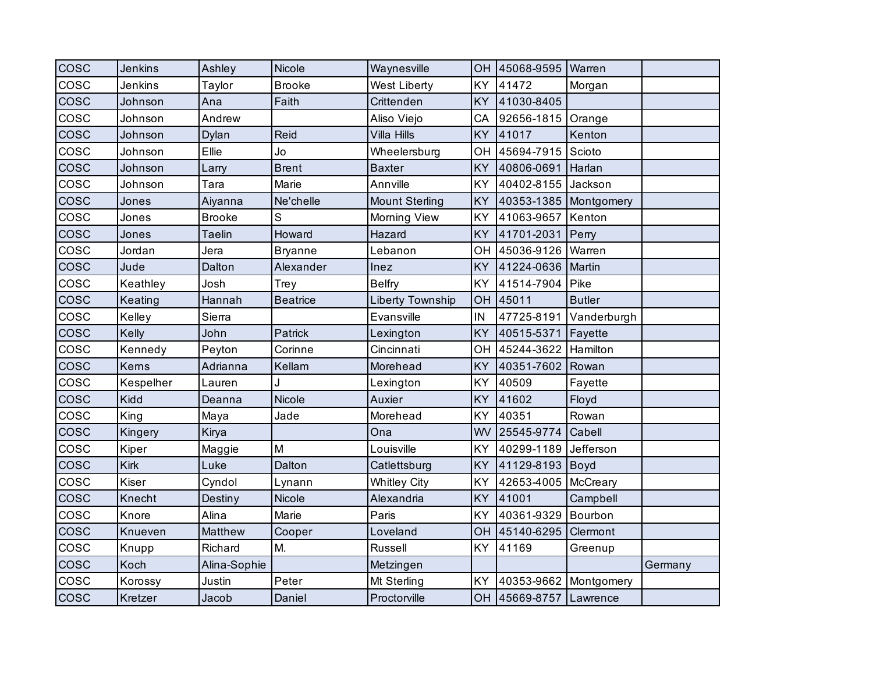| <b>COSC</b> | <b>Jenkins</b> | Ashley        | Nicole          | Waynesville             | OH        | 45068-9595    | Warren          |         |
|-------------|----------------|---------------|-----------------|-------------------------|-----------|---------------|-----------------|---------|
| <b>COSC</b> | Jenkins        | Taylor        | <b>Brooke</b>   | West Liberty            | KY        | 41472         | Morgan          |         |
| <b>COSC</b> | Johnson        | Ana           | Faith           | Crittenden              | KY        | 41030-8405    |                 |         |
| cosc        | Johnson        | Andrew        |                 | Aliso Viejo             | CA        | 92656-1815    | Orange          |         |
| COSC        | Johnson        | Dylan         | Reid            | Villa Hills             | KY        | 41017         | Kenton          |         |
| cosc        | Johnson        | Ellie         | Jo              | Wheelersburg            | OH        | 45694-7915    | Scioto          |         |
| cosc        | Johnson        | Larry         | <b>Brent</b>    | <b>Baxter</b>           | KY        | 40806-0691    | Harlan          |         |
| COSC        | Johnson        | Tara          | Marie           | Annville                | KY        | 40402-8155    | Jackson         |         |
| <b>COSC</b> | Jones          | Aiyanna       | Ne'chelle       | <b>Mount Sterling</b>   | KY        | 40353-1385    | Montgomery      |         |
| cosc        | Jones          | <b>Brooke</b> | S               | <b>Morning View</b>     | KY        | 41063-9657    | Kenton          |         |
| cosc        | Jones          | <b>Taelin</b> | Howard          | Hazard                  | KY        | 41701-2031    | Perry           |         |
| COSC        | Jordan         | Jera          | <b>Bryanne</b>  | Lebanon                 | OH        | 45036-9126    | Warren          |         |
| <b>COSC</b> | Jude           | Dalton        | Alexander       | Inez                    | KY        | 41224-0636    | Martin          |         |
| COSC        | Keathley       | Josh          | Trey            | <b>Belfry</b>           | KY        | 41514-7904    | Pike            |         |
| cosc        | Keating        | Hannah        | <b>Beatrice</b> | <b>Liberty Township</b> | OH        | 45011         | <b>Butler</b>   |         |
| cosc        | Kelley         | Sierra        |                 | Evansville              | IN        | 47725-8191    | Vanderburgh     |         |
| <b>COSC</b> | Kelly          | John          | Patrick         | Lexington               | KY        | 40515-5371    | Fayette         |         |
| cosc        | Kennedy        | Peyton        | Corinne         | Cincinnati              | OH        | 45244-3622    | Hamilton        |         |
| cosc        | Kerns          | Adrianna      | Kellam          | Morehead                | KY        | 40351-7602    | Rowan           |         |
| cosc        | Kespelher      | Lauren        | J.              | Lexington               | KY        | 40509         | Fayette         |         |
| cosc        | Kidd           | Deanna        | Nicole          | Auxier                  | KY        | 41602         | Floyd           |         |
| COSC        | King           | Maya          | Jade            | Morehead                | KY        | 40351         | Rowan           |         |
| cosc        | Kingery        | Kirya         |                 | Ona                     | WV        | 25545-9774    | Cabell          |         |
| COSC        | Kiper          | Maggie        | M               | Louisville              | KY        | 40299-1189    | Jefferson       |         |
| <b>COSC</b> | <b>Kirk</b>    | Luke          | Dalton          | Catlettsburg            | <b>KY</b> | 41129-8193    | Boyd            |         |
| cosc        | Kiser          | Cyndol        | Lynann          | <b>Whitley City</b>     | KY        | 42653-4005    | McCreary        |         |
| COSC        | Knecht         | Destiny       | Nicole          | Alexandria              | KY        | 41001         | Campbell        |         |
| COSC        | Knore          | Alina         | Marie           | Paris                   | KY        | 40361-9329    | Bourbon         |         |
| <b>COSC</b> | Knueven        | Matthew       | Cooper          | Loveland                | OH        | 45140-6295    | Clermont        |         |
| cosc        | Knupp          | Richard       | M.              | Russell                 | KY        | 41169         | Greenup         |         |
| <b>COSC</b> | Koch           | Alina-Sophie  |                 | Metzingen               |           |               |                 | Germany |
| COSC        | Korossy        | Justin        | Peter           | Mt Sterling             | KY        | 40353-9662    | Montgomery      |         |
| cosc        | Kretzer        | Jacob         | Daniel          | Proctorville            |           | OH 45669-8757 | <b>Lawrence</b> |         |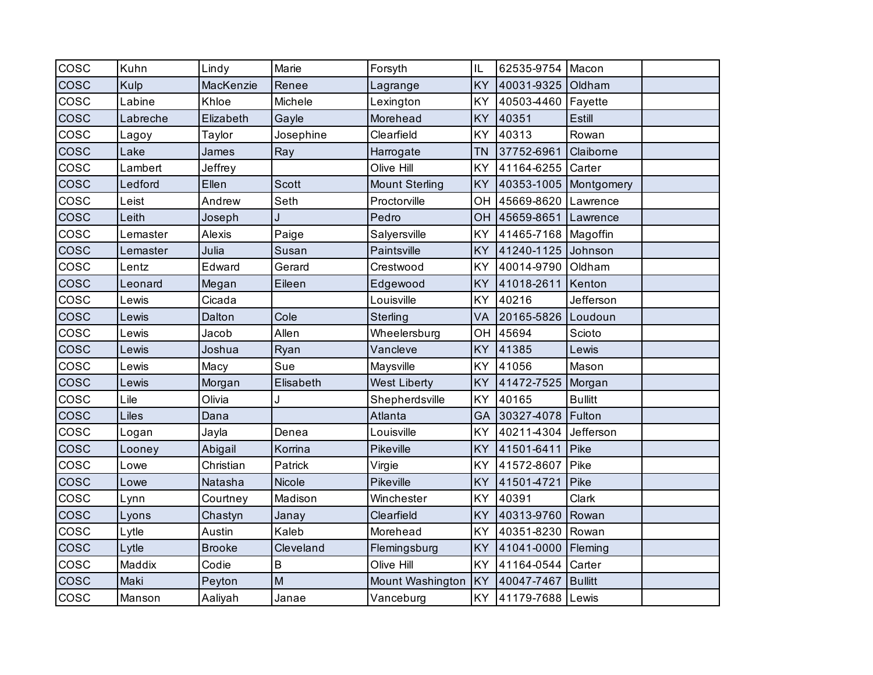| cosc        | Kuhn     | Lindy         | Marie        | Forsyth               | IL        | 62535-9754 | Macon          |  |
|-------------|----------|---------------|--------------|-----------------------|-----------|------------|----------------|--|
| <b>COSC</b> | Kulp     | MacKenzie     | Renee        | Lagrange              | KY        | 40031-9325 | Oldham         |  |
| cosc        | Labine   | Khloe         | Michele      | Lexington             | KY        | 40503-4460 | Fayette        |  |
| COSC        | Labreche | Elizabeth     | Gayle        | Morehead              | KY        | 40351      | Estill         |  |
| COSC        | Lagoy    | Taylor        | Josephine    | Clearfield            | KY        | 40313      | Rowan          |  |
| <b>COSC</b> | Lake     | James         | Ray          | Harrogate             | <b>TN</b> | 37752-6961 | Claiborne      |  |
| cosc        | Lambert  | Jeffrey       |              | Olive Hill            | KY        | 41164-6255 | Carter         |  |
| <b>COSC</b> | Ledford  | Ellen         | <b>Scott</b> | <b>Mount Sterling</b> | KY        | 40353-1005 | Montgomery     |  |
| COSC        | Leist    | Andrew        | Seth         | Proctorville          | OH        | 45669-8620 | Lawrence       |  |
| <b>COSC</b> | Leith    | Joseph        | J            | Pedro                 | <b>OH</b> | 45659-8651 | Lawrence       |  |
| COSC        | Lemaster | Alexis        | Paige        | Salyersville          | KY        | 41465-7168 | Magoffin       |  |
| <b>COSC</b> | Lemaster | Julia         | Susan        | Paintsville           | KY        | 41240-1125 | Johnson        |  |
| cosc        | Lentz    | Edward        | Gerard       | Crestwood             | KY        | 40014-9790 | Oldham         |  |
| <b>COSC</b> | Leonard  | Megan         | Eileen       | Edgewood              | <b>KY</b> | 41018-2611 | Kenton         |  |
| cosc        | Lewis    | Cicada        |              | Louisville            | KY        | 40216      | Jefferson      |  |
| <b>COSC</b> | Lewis    | Dalton        | Cole         | Sterling              | VA        | 20165-5826 | Loudoun        |  |
| cosc        | Lewis    | Jacob         | Allen        | Wheelersburg          | OH        | 45694      | Scioto         |  |
| cosc        | Lewis    | Joshua        | Ryan         | Vancleve              | KY        | 41385      | Lewis          |  |
| cosc        | Lewis    | Macy          | Sue          | Maysville             | KY        | 41056      | Mason          |  |
| COSC        | Lewis    | Morgan        | Elisabeth    | <b>West Liberty</b>   | KY        | 41472-7525 | Morgan         |  |
| COSC        | Lile     | Olivia        | J            | Shepherdsville        | KY        | 40165      | <b>Bullitt</b> |  |
| <b>COSC</b> | Liles    | Dana          |              | Atlanta               | GA        | 30327-4078 | Fulton         |  |
| COSC        | Logan    | Jayla         | Denea        | Louisville            | KY        | 40211-4304 | Jefferson      |  |
| <b>COSC</b> | Looney   | Abigail       | Korrina      | Pikeville             | KY        | 41501-6411 | Pike           |  |
| cosc        | Lowe     | Christian     | Patrick      | Virgie                | KY        | 41572-8607 | Pike           |  |
| cosc        | Lowe     | Natasha       | Nicole       | Pikeville             | KY        | 41501-4721 | Pike           |  |
| COSC        | Lynn     | Courtney      | Madison      | Winchester            | KY        | 40391      | Clark          |  |
| COSC        | Lyons    | Chastyn       | Janay        | Clearfield            | KY        | 40313-9760 | Rowan          |  |
| COSC        | Lytle    | Austin        | Kaleb        | Morehead              | KY        | 40351-8230 | Rowan          |  |
| <b>COSC</b> | Lytle    | <b>Brooke</b> | Cleveland    | Flemingsburg          | KY        | 41041-0000 | Fleming        |  |
| COSC        | Maddix   | Codie         | B            | Olive Hill            | KY        | 41164-0544 | Carter         |  |
| cosc        | Maki     | Peyton        | M            | Mount Washington      | KY        | 40047-7467 | <b>Bullitt</b> |  |
| cosc        | Manson   | Aaliyah       | Janae        | Vanceburg             | <b>KY</b> | 41179-7688 | Lewis          |  |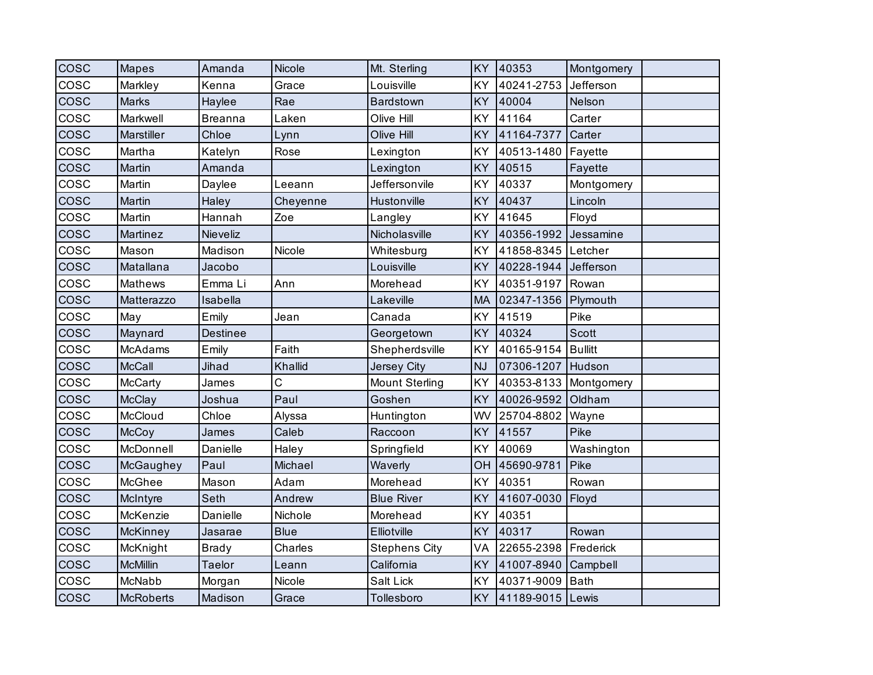| cosc        | <b>Mapes</b>     | Amanda       | Nicole      | Mt. Sterling          | KY        | 40353      | Montgomery     |  |
|-------------|------------------|--------------|-------------|-----------------------|-----------|------------|----------------|--|
| COSC        | Markley          | Kenna        | Grace       | Louisville            | KY        | 40241-2753 | Jefferson      |  |
| <b>COSC</b> | <b>Marks</b>     | Haylee       | Rae         | Bardstown             | KY        | 40004      | Nelson         |  |
| COSC        | Markwell         | Breanna      | Laken       | Olive Hill            | KY        | 41164      | Carter         |  |
| <b>COSC</b> | Marstiller       | Chloe        | Lynn        | Olive Hill            | KY        | 41164-7377 | Carter         |  |
| cosc        | Martha           | Katelyn      | Rose        | Lexington             | KY        | 40513-1480 | Fayette        |  |
| <b>COSC</b> | Martin           | Amanda       |             | Lexington             | KY        | 40515      | Fayette        |  |
| COSC        | Martin           | Daylee       | Leeann      | Jeffersonvile         | KY        | 40337      | Montgomery     |  |
| <b>COSC</b> | Martin           | Haley        | Cheyenne    | Hustonville           | KY        | 40437      | Lincoln        |  |
| <b>COSC</b> | Martin           | Hannah       | Zoe         | Langley               | KY        | 41645      | Floyd          |  |
| cosc        | Martinez         | Nieveliz     |             | Nicholasville         | KY        | 40356-1992 | Jessamine      |  |
| COSC        | Mason            | Madison      | Nicole      | Whitesburg            | KY        | 41858-8345 | Letcher        |  |
| <b>COSC</b> | Matallana        | Jacobo       |             | Louisville            | KY        | 40228-1944 | Jefferson      |  |
| <b>COSC</b> | Mathews          | Emma Li      | Ann         | Morehead              | KY        | 40351-9197 | Rowan          |  |
| cosc        | Matterazzo       | Isabella     |             | Lakeville             | <b>MA</b> | 02347-1356 | Plymouth       |  |
| COSC        | May              | Emily        | Jean        | Canada                | KY        | 41519      | Pike           |  |
| <b>COSC</b> | Maynard          | Destinee     |             | Georgetown            | KY        | 40324      | <b>Scott</b>   |  |
| cosc        | McAdams          | Emily        | Faith       | Shepherdsville        | KY        | 40165-9154 | <b>Bullitt</b> |  |
| COSC        | <b>McCall</b>    | Jihad        | Khallid     | Jersey City           | <b>NJ</b> | 07306-1207 | Hudson         |  |
| COSC        | McCarty          | James        | C           | <b>Mount Sterling</b> | KY        | 40353-8133 | Montgomery     |  |
| <b>COSC</b> | McClay           | Joshua       | Paul        | Goshen                | KY        | 40026-9592 | Oldham         |  |
| COSC        | McCloud          | Chloe        | Alyssa      | Huntington            | WV        | 25704-8802 | Wayne          |  |
| COSC        | McCoy            | James        | Caleb       | Raccoon               | KY        | 41557      | Pike           |  |
| COSC        | McDonnell        | Danielle     | Haley       | Springfield           | KY        | 40069      | Washington     |  |
| <b>COSC</b> | McGaughey        | Paul         | Michael     | Waverly               | OH        | 45690-9781 | Pike           |  |
| <b>COSC</b> | McGhee           | Mason        | Adam        | Morehead              | KY        | 40351      | Rowan          |  |
| <b>COSC</b> | McIntyre         | Seth         | Andrew      | <b>Blue River</b>     | KY        | 41607-0030 | Floyd          |  |
| COSC        | McKenzie         | Danielle     | Nichole     | Morehead              | KY        | 40351      |                |  |
| <b>COSC</b> | McKinney         | Jasarae      | <b>Blue</b> | Elliotville           | KY        | 40317      | Rowan          |  |
| cosc        | McKnight         | <b>Brady</b> | Charles     | <b>Stephens City</b>  | VA        | 22655-2398 | Frederick      |  |
| <b>COSC</b> | <b>McMillin</b>  | Taelor       | Leann       | California            | KY        | 41007-8940 | Campbell       |  |
| COSC        | McNabb           | Morgan       | Nicole      | Salt Lick             | KY        | 40371-9009 | Bath           |  |
| cosc        | <b>McRoberts</b> | Madison      | Grace       | Tollesboro            | KY        | 41189-9015 | Lewis          |  |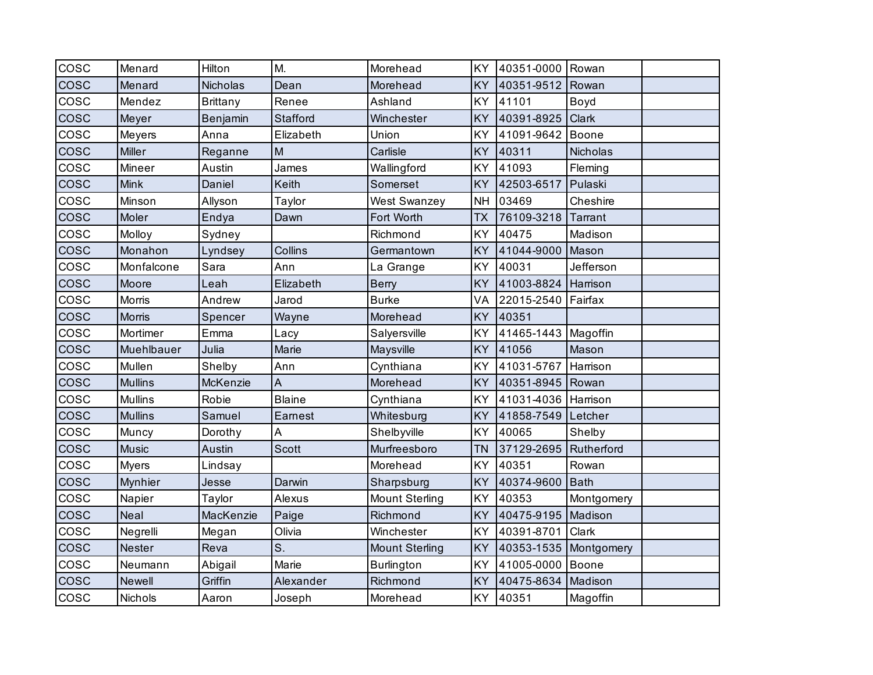| cosc        | Menard         | Hilton          | M.            | Morehead              | KY        | 40351-0000            | Rowan        |  |
|-------------|----------------|-----------------|---------------|-----------------------|-----------|-----------------------|--------------|--|
| <b>COSC</b> | Menard         | Nicholas        | Dean          | Morehead              | KY        | 40351-9512            | Rowan        |  |
| COSC        | Mendez         | <b>Brittany</b> | Renee         | Ashland               | KY        | 41101                 | Boyd         |  |
| COSC        | Meyer          | Benjamin        | Stafford      | Winchester            | KY        | 40391-8925            | <b>Clark</b> |  |
| COSC        | Meyers         | Anna            | Elizabeth     | Union                 | KY        | 41091-9642            | Boone        |  |
| cosc        | Miller         | Reganne         | M             | Carlisle              | KY        | 40311                 | Nicholas     |  |
| cosc        | Mineer         | Austin          | James         | Wallingford           | KY        | 41093                 | Fleming      |  |
| <b>COSC</b> | Mink           | Daniel          | Keith         | Somerset              | KY        | 42503-6517            | Pulaski      |  |
| COSC        | Minson         | Allyson         | Taylor        | <b>West Swanzey</b>   | <b>NH</b> | 03469                 | Cheshire     |  |
| <b>COSC</b> | Moler          | Endya           | Dawn          | Fort Worth            | <b>TX</b> | 76109-3218            | Tarrant      |  |
| cosc        | Molloy         | Sydney          |               | Richmond              | KY        | 40475                 | Madison      |  |
| COSC        | Monahon        | Lyndsey         | Collins       | Germantown            | KY        | 41044-9000            | Mason        |  |
| cosc        | Monfalcone     | Sara            | Ann           | La Grange             | KY        | 40031                 | Jefferson    |  |
| <b>COSC</b> | Moore          | Leah            | Elizabeth     | <b>Berry</b>          | KY        | 41003-8824            | Harrison     |  |
| cosc        | Morris         | Andrew          | Jarod         | <b>Burke</b>          | VA        | 22015-2540            | Fairfax      |  |
| cosc        | <b>Morris</b>  | Spencer         | Wayne         | Morehead              | KY        | 40351                 |              |  |
| cosc        | Mortimer       | Emma            | Lacy          | Salyersville          | KY        | 41465-1443   Magoffin |              |  |
| <b>COSC</b> | Muehlbauer     | Julia           | Marie         | Maysville             | KY        | 41056                 | Mason        |  |
| cosc        | Mullen         | Shelby          | Ann           | Cynthiana             | KY        | 41031-5767            | Harrison     |  |
| cosc        | <b>Mullins</b> | McKenzie        | A             | Morehead              | KY        | 40351-8945            | Rowan        |  |
| cosc        | <b>Mullins</b> | Robie           | <b>Blaine</b> | Cynthiana             | KY        | 41031-4036            | Harrison     |  |
| <b>COSC</b> | <b>Mullins</b> | Samuel          | Earnest       | Whitesburg            | KY        | 41858-7549            | Letcher      |  |
| COSC        | Muncy          | Dorothy         | Α             | Shelbyville           | KY        | 40065                 | Shelby       |  |
| <b>COSC</b> | <b>Music</b>   | Austin          | Scott         | Murfreesboro          | <b>TN</b> | 37129-2695            | Rutherford   |  |
| cosc        | Myers          | Lindsay         |               | Morehead              | KY        | 40351                 | Rowan        |  |
| <b>COSC</b> | Mynhier        | Jesse           | Darwin        | Sharpsburg            | KY        | 40374-9600            | <b>Bath</b>  |  |
| COSC        | Napier         | Taylor          | Alexus        | <b>Mount Sterling</b> | KY        | 40353                 | Montgomery   |  |
| COSC        | <b>Neal</b>    | MacKenzie       | Paige         | Richmond              | KY        | 40475-9195            | Madison      |  |
| cosc        | Negrelli       | Megan           | Olivia        | Winchester            | KY        | 40391-8701            | Clark        |  |
| cosc        | <b>Nester</b>  | Reva            | S.            | <b>Mount Sterling</b> | KY        | 40353-1535            | Montgomery   |  |
| COSC        | Neumann        | Abigail         | Marie         | Burlington            | KY        | 41005-0000            | Boone        |  |
| cosc        | Newell         | Griffin         | Alexander     | Richmond              | KY        | 40475-8634            | Madison      |  |
| cosc        | Nichols        | Aaron           | Joseph        | Morehead              | <b>KY</b> | 40351                 | Magoffin     |  |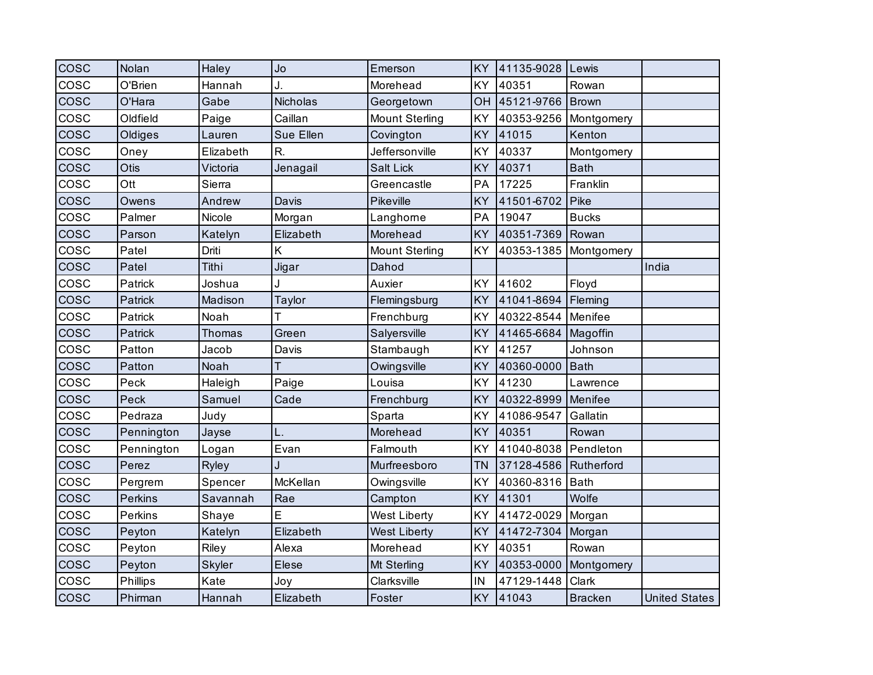| cosc        | Nolan      | Haley         | Jo           | Emerson               | KY        | 41135-9028 | Lewis          |                      |
|-------------|------------|---------------|--------------|-----------------------|-----------|------------|----------------|----------------------|
| cosc        | O'Brien    | Hannah        | J.           | Morehead              | KY        | 40351      | Rowan          |                      |
| cosc        | O'Hara     | Gabe          | Nicholas     | Georgetown            | OH        | 45121-9766 | <b>Brown</b>   |                      |
| COSC        | Oldfield   | Paige         | Caillan      | <b>Mount Sterling</b> | KY        | 40353-9256 | Montgomery     |                      |
| COSC        | Oldiges    | Lauren        | Sue Ellen    | Covington             | KY        | 41015      | Kenton         |                      |
| cosc        | Oney       | Elizabeth     | R.           | Jeffersonville        | KY        | 40337      | Montgomery     |                      |
| <b>COSC</b> | Otis       | Victoria      | Jenagail     | Salt Lick             | KY        | 40371      | <b>Bath</b>    |                      |
| COSC        | Ott        | Sierra        |              | Greencastle           | PA        | 17225      | Franklin       |                      |
| <b>COSC</b> | Owens      | Andrew        | Davis        | Pikeville             | KY        | 41501-6702 | Pike           |                      |
| <b>COSC</b> | Palmer     | Nicole        | Morgan       | Langhorne             | PA        | 19047      | <b>Bucks</b>   |                      |
| cosc        | Parson     | Katelyn       | Elizabeth    | Morehead              | KY        | 40351-7369 | Rowan          |                      |
| COSC        | Patel      | Driti         | K            | <b>Mount Sterling</b> | KY        | 40353-1385 | Montgomery     |                      |
| <b>COSC</b> | Patel      | Tithi         | <b>Jigar</b> | Dahod                 |           |            |                | India                |
| <b>COSC</b> | Patrick    | Joshua        | J.           | Auxier                | KY        | 41602      | Floyd          |                      |
| cosc        | Patrick    | Madison       | Taylor       | Flemingsburg          | KY        | 41041-8694 | Fleming        |                      |
| cosc        | Patrick    | Noah          | T            | Frenchburg            | KY        | 40322-8544 | Menifee        |                      |
| <b>COSC</b> | Patrick    | Thomas        | Green        | Salyersville          | KY        | 41465-6684 | Magoffin       |                      |
| cosc        | Patton     | Jacob         | Davis        | Stambaugh             | KY        | 41257      | Johnson        |                      |
| COSC        | Patton     | Noah          | T            | Owingsville           | KY        | 40360-0000 | <b>Bath</b>    |                      |
| COSC        | Peck       | Haleigh       | Paige        | Louisa                | KY        | 41230      | Lawrence       |                      |
| <b>COSC</b> | Peck       | Samuel        | Cade         | Frenchburg            | KY        | 40322-8999 | Menifee        |                      |
| COSC        | Pedraza    | Judy          |              | Sparta                | KY        | 41086-9547 | Gallatin       |                      |
| COSC        | Pennington | Jayse         | L.           | Morehead              | KY        | 40351      | Rowan          |                      |
| COSC        | Pennington | Logan         | Evan         | Falmouth              | KY        | 41040-8038 | Pendleton      |                      |
| <b>COSC</b> | Perez      | Ryley         |              | Murfreesboro          | <b>TN</b> | 37128-4586 | Rutherford     |                      |
| <b>COSC</b> | Pergrem    | Spencer       | McKellan     | Owingsville           | KY        | 40360-8316 | Bath           |                      |
| COSC        | Perkins    | Savannah      | Rae          | Campton               | KY        | 41301      | Wolfe          |                      |
| COSC        | Perkins    | Shaye         | E            | <b>West Liberty</b>   | KY        | 41472-0029 | Morgan         |                      |
| <b>COSC</b> | Peyton     | Katelyn       | Elizabeth    | <b>West Liberty</b>   | KY        | 41472-7304 | Morgan         |                      |
| cosc        | Peyton     | Riley         | Alexa        | Morehead              | KY        | 40351      | Rowan          |                      |
| <b>COSC</b> | Peyton     | <b>Skyler</b> | Elese        | Mt Sterling           | KY        | 40353-0000 | Montgomery     |                      |
| cosc        | Phillips   | Kate          | Joy          | Clarksville           | IN        | 47129-1448 | Clark          |                      |
| <b>COSC</b> | Phirman    | Hannah        | Elizabeth    | Foster                | <b>KY</b> | 41043      | <b>Bracken</b> | <b>United States</b> |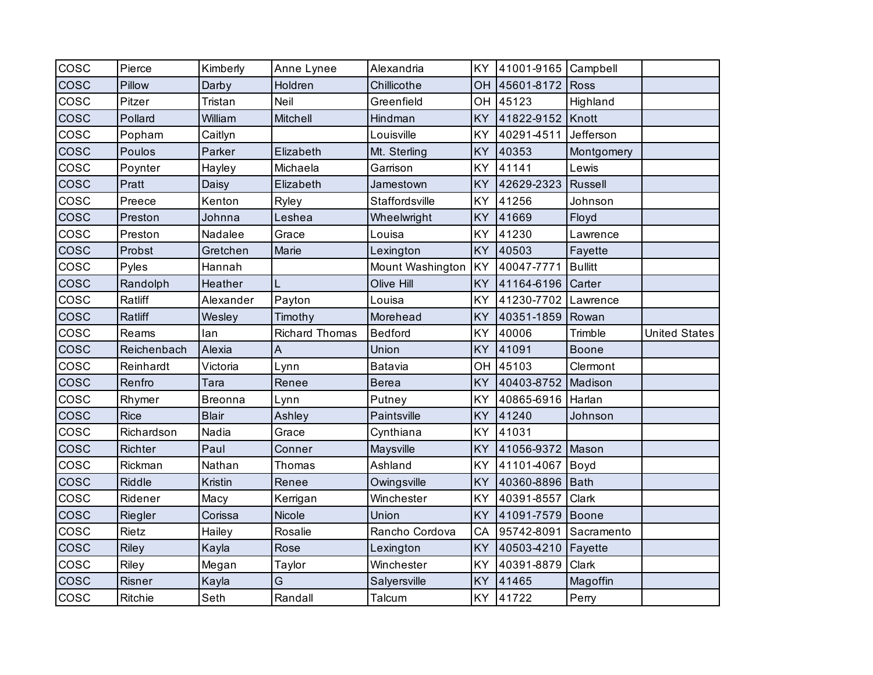| COSC        | Pierce      | Kimberly       | Anne Lynee            | Alexandria       | KY        | 41001-9165 Campbell |                |                      |
|-------------|-------------|----------------|-----------------------|------------------|-----------|---------------------|----------------|----------------------|
| cosc        | Pillow      | Darby          | Holdren               | Chillicothe      | OH        | 45601-8172          | <b>Ross</b>    |                      |
| cosc        | Pitzer      | Tristan        | Neil                  | Greenfield       | OH        | 45123               | Highland       |                      |
| cosc        | Pollard     | William        | Mitchell              | Hindman          | KY        | 41822-9152          | Knott          |                      |
| COSC        | Popham      | Caitlyn        |                       | Louisville       | KY        | 40291-4511          | Jefferson      |                      |
| cosc        | Poulos      | Parker         | Elizabeth             | Mt. Sterling     | KY        | 40353               | Montgomery     |                      |
| COSC        | Poynter     | Hayley         | Michaela              | Garrison         | KY        | 41141               | Lewis          |                      |
| cosc        | Pratt       | Daisy          | Elizabeth             | Jamestown        | KY        | 42629-2323          | Russell        |                      |
| COSC        | Preece      | Kenton         | Ryley                 | Staffordsville   | KY        | 41256               | Johnson        |                      |
| cosc        | Preston     | Johnna         | Leshea                | Wheelwright      | KY        | 41669               | Floyd          |                      |
| cosc        | Preston     | Nadalee        | Grace                 | Louisa           | KY        | 41230               | Lawrence       |                      |
| <b>COSC</b> | Probst      | Gretchen       | Marie                 | Lexington        | KY        | 40503               | Fayette        |                      |
| COSC        | Pyles       | Hannah         |                       | Mount Washington | <b>KY</b> | 40047-7771          | <b>Bullitt</b> |                      |
| <b>COSC</b> | Randolph    | Heather        |                       | Olive Hill       | KY        | 41164-6196          | Carter         |                      |
| cosc        | Ratliff     | Alexander      | Payton                | Louisa           | KY        | 41230-7702          | Lawrence       |                      |
| cosc        | Ratliff     | Wesley         | Timothy               | Morehead         | KY        | 40351-1859          | Rowan          |                      |
| cosc        | Reams       | lan            | <b>Richard Thomas</b> | <b>Bedford</b>   | KY        | 40006               | Trimble        | <b>United States</b> |
| cosc        | Reichenbach | Alexia         | A                     | Union            | KY        | 41091               | <b>Boone</b>   |                      |
| cosc        | Reinhardt   | Victoria       | Lynn                  | Batavia          | OH        | 45103               | Clermont       |                      |
| cosc        | Renfro      | Tara           | Renee                 | <b>Berea</b>     | KY        | 40403-8752          | Madison        |                      |
| cosc        | Rhymer      | <b>Breonna</b> | Lynn                  | Putney           | KY        | 40865-6916          | Harlan         |                      |
| <b>COSC</b> | <b>Rice</b> | <b>Blair</b>   | Ashley                | Paintsville      | KY        | 41240               | Johnson        |                      |
| cosc        | Richardson  | Nadia          | Grace                 | Cynthiana        | KY        | 41031               |                |                      |
| COSC        | Richter     | Paul           | Conner                | Maysville        | KY        | 41056-9372          | Mason          |                      |
| cosc        | Rickman     | Nathan         | Thomas                | Ashland          | KY        | 41101-4067          | Boyd           |                      |
| cosc        | Riddle      | Kristin        | Renee                 | Owingsville      | KY        | 40360-8896          | <b>Bath</b>    |                      |
| COSC        | Ridener     | Macy           | Kerrigan              | Winchester       | KY        | 40391-8557          | Clark          |                      |
| <b>COSC</b> | Riegler     | Corissa        | Nicole                | Union            | KY        | 41091-7579          | Boone          |                      |
| COSC        | Rietz       | Hailey         | Rosalie               | Rancho Cordova   | CA        | 95742-8091          | Sacramento     |                      |
| <b>COSC</b> | Riley       | Kayla          | Rose                  | Lexington        | KY        | 40503-4210          | Fayette        |                      |
| COSC        | Riley       | Megan          | Taylor                | Winchester       | KY        | 40391-8879          | Clark          |                      |
| <b>COSC</b> | Risner      | Kayla          | G                     | Salyersville     | KY        | 41465               | Magoffin       |                      |
| cosc        | Ritchie     | Seth           | Randall               | Talcum           | <b>KY</b> | 41722               | Perry          |                      |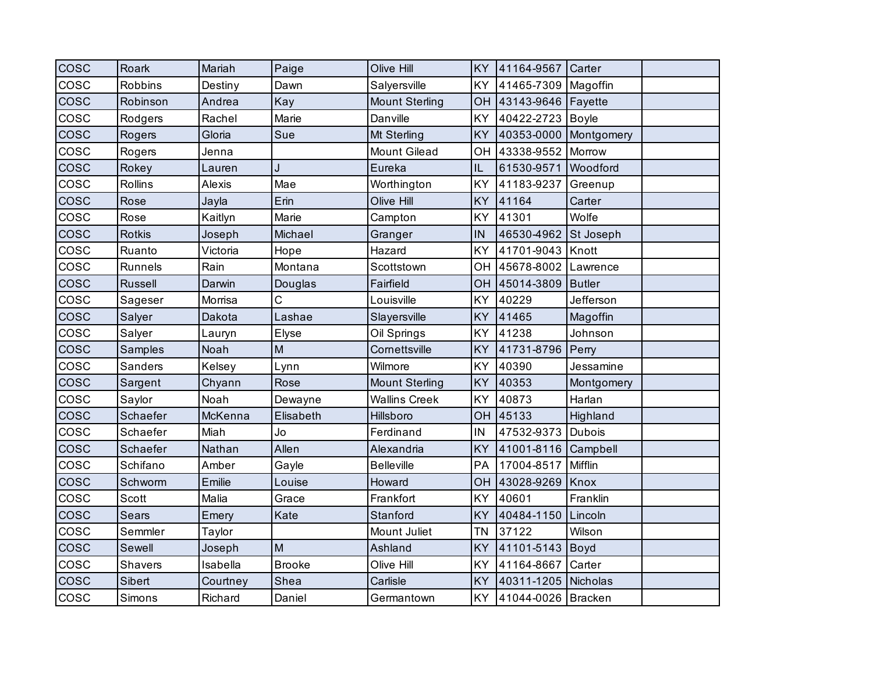| <b>COSC</b> | Roark          | Mariah   | Paige         | Olive Hill            | KY        | 41164-9567 | Carter        |  |
|-------------|----------------|----------|---------------|-----------------------|-----------|------------|---------------|--|
| cosc        | Robbins        | Destiny  | Dawn          | Salyersville          | KY        | 41465-7309 | Magoffin      |  |
| cosc        | Robinson       | Andrea   | Kay           | <b>Mount Sterling</b> | OH        | 43143-9646 | Fayette       |  |
| COSC        | Rodgers        | Rachel   | Marie         | Danville              | KY        | 40422-2723 | <b>Boyle</b>  |  |
| <b>COSC</b> | Rogers         | Gloria   | Sue           | Mt Sterling           | KY        | 40353-0000 | Montgomery    |  |
| cosc        | Rogers         | Jenna    |               | <b>Mount Gilead</b>   | OH        | 43338-9552 | Morrow        |  |
| cosc        | Rokey          | Lauren   | J             | Eureka                | IL        | 61530-9571 | Woodford      |  |
| COSC        | <b>Rollins</b> | Alexis   | Mae           | Worthington           | KY        | 41183-9237 | Greenup       |  |
| <b>COSC</b> | Rose           | Jayla    | Erin          | Olive Hill            | KY        | 41164      | Carter        |  |
| cosc        | Rose           | Kaitlyn  | Marie         | Campton               | KY        | 41301      | Wolfe         |  |
| cosc        | <b>Rotkis</b>  | Joseph   | Michael       | Granger               | IN        | 46530-4962 | St Joseph     |  |
| COSC        | Ruanto         | Victoria | Hope          | Hazard                | KY        | 41701-9043 | Knott         |  |
| <b>COSC</b> | Runnels        | Rain     | Montana       | Scottstown            | OH        | 45678-8002 | Lawrence      |  |
| <b>COSC</b> | <b>Russell</b> | Darwin   | Douglas       | Fairfield             | OH        | 45014-3809 | <b>Butler</b> |  |
| cosc        | Sageser        | Morrisa  | C             | Louisville            | KY        | 40229      | Jefferson     |  |
| <b>COSC</b> | Salyer         | Dakota   | Lashae        | Slayersville          | KY        | 41465      | Magoffin      |  |
| <b>COSC</b> | Salyer         | Lauryn   | Elyse         | Oil Springs           | KY        | 41238      | Johnson       |  |
| <b>COSC</b> | Samples        | Noah     | M             | Cornettsville         | KY        | 41731-8796 | Perry         |  |
| cosc        | Sanders        | Kelsey   | Lynn          | Wilmore               | KY        | 40390      | Jessamine     |  |
| <b>COSC</b> | Sargent        | Chyann   | Rose          | <b>Mount Sterling</b> | <b>KY</b> | 40353      | Montgomery    |  |
| <b>COSC</b> | Saylor         | Noah     | Dewayne       | <b>Wallins Creek</b>  | KY        | 40873      | Harlan        |  |
| <b>COSC</b> | Schaefer       | McKenna  | Elisabeth     | Hillsboro             | OH        | 45133      | Highland      |  |
| COSC        | Schaefer       | Miah     | Jo            | Ferdinand             | IN        | 47532-9373 | <b>Dubois</b> |  |
| cosc        | Schaefer       | Nathan   | Allen         | Alexandria            | <b>KY</b> | 41001-8116 | Campbell      |  |
| cosc        | Schifano       | Amber    | Gayle         | <b>Belleville</b>     | PA        | 17004-8517 | Mifflin       |  |
| <b>COSC</b> | Schworm        | Emilie   | Louise        | Howard                | OH        | 43028-9269 | Knox          |  |
| COSC        | Scott          | Malia    | Grace         | Frankfort             | KY        | 40601      | Franklin      |  |
| <b>COSC</b> | <b>Sears</b>   | Emery    | Kate          | Stanford              | KY        | 40484-1150 | Lincoln       |  |
| cosc        | Semmler        | Taylor   |               | Mount Juliet          | <b>TN</b> | 37122      | Wilson        |  |
| cosc        | Sewell         | Joseph   | M             | Ashland               | KY        | 41101-5143 | Boyd          |  |
| COSC        | <b>Shavers</b> | Isabella | <b>Brooke</b> | Olive Hill            | KY        | 41164-8667 | Carter        |  |
| cosc        | Sibert         | Courtney | Shea          | Carlisle              | KY        | 40311-1205 | Nicholas      |  |
| cosc        | Simons         | Richard  | Daniel        | Germantown            | KY        | 41044-0026 | Bracken       |  |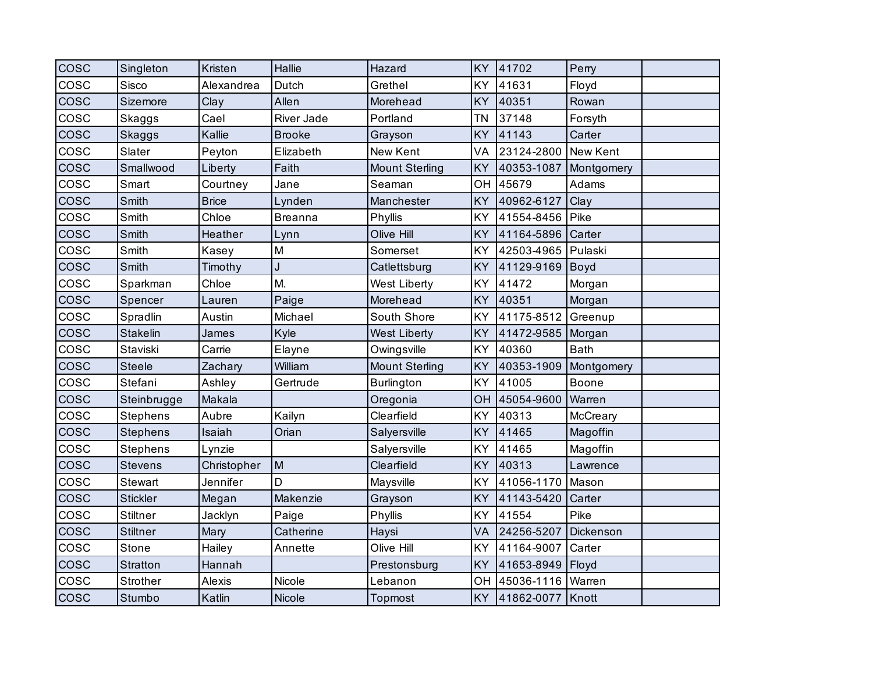| <b>COSC</b> | Singleton       | Kristen      | Hallie         | Hazard                | KY        | 41702      | Perry       |  |
|-------------|-----------------|--------------|----------------|-----------------------|-----------|------------|-------------|--|
| COSC        | Sisco           | Alexandrea   | Dutch          | Grethel               | KY        | 41631      | Floyd       |  |
| <b>COSC</b> | Sizemore        | Clay         | Allen          | Morehead              | KY        | 40351      | Rowan       |  |
| cosc        | Skaggs          | Cael         | River Jade     | Portland              | <b>TN</b> | 37148      | Forsyth     |  |
| COSC        | <b>Skaggs</b>   | Kallie       | <b>Brooke</b>  | Grayson               | KY        | 41143      | Carter      |  |
| cosc        | Slater          | Peyton       | Elizabeth      | New Kent              | VA        | 23124-2800 | New Kent    |  |
| cosc        | Smallwood       | Liberty      | Faith          | <b>Mount Sterling</b> | KY        | 40353-1087 | Montgomery  |  |
| COSC        | Smart           | Courtney     | Jane           | Seaman                | OH        | 45679      | Adams       |  |
| COSC        | Smith           | <b>Brice</b> | Lynden         | Manchester            | KY        | 40962-6127 | Clay        |  |
| cosc        | Smith           | Chloe        | <b>Breanna</b> | Phyllis               | KY        | 41554-8456 | Pike        |  |
| <b>COSC</b> | Smith           | Heather      | Lynn           | Olive Hill            | KY        | 41164-5896 | Carter      |  |
| COSC        | Smith           | Kasey        | M              | Somerset              | KY        | 42503-4965 | Pulaski     |  |
| <b>COSC</b> | Smith           | Timothy      | J              | Catlettsburg          | KY        | 41129-9169 | Boyd        |  |
| COSC        | Sparkman        | Chloe        | M.             | West Liberty          | KY        | 41472      | Morgan      |  |
| cosc        | Spencer         | Lauren       | Paige          | Morehead              | KY        | 40351      | Morgan      |  |
| COSC        | Spradlin        | Austin       | Michael        | South Shore           | KY        | 41175-8512 | Greenup     |  |
| <b>COSC</b> | <b>Stakelin</b> | James        | Kyle           | <b>West Liberty</b>   | KY        | 41472-9585 | Morgan      |  |
| cosc        | Staviski        | Carrie       | Elayne         | Owingsville           | KY        | 40360      | <b>Bath</b> |  |
| cosc        | <b>Steele</b>   | Zachary      | William        | <b>Mount Sterling</b> | KY        | 40353-1909 | Montgomery  |  |
| cosc        | Stefani         | Ashley       | Gertrude       | <b>Burlington</b>     | KY        | 41005      | Boone       |  |
| <b>COSC</b> | Steinbrugge     | Makala       |                | Oregonia              | OH        | 45054-9600 | Warren      |  |
| COSC        | <b>Stephens</b> | Aubre        | Kailyn         | Clearfield            | KY        | 40313      | McCreary    |  |
| COSC        | <b>Stephens</b> | Isaiah       | Orian          | Salyersville          | KY        | 41465      | Magoffin    |  |
| COSC        | Stephens        | Lynzie       |                | Salyersville          | KY        | 41465      | Magoffin    |  |
| <b>COSC</b> | <b>Stevens</b>  | Christopher  | M              | Clearfield            | KY        | 40313      | Lawrence    |  |
| cosc        | Stewart         | Jennifer     | D              | Maysville             | KY        | 41056-1170 | Mason       |  |
| COSC        | <b>Stickler</b> | Megan        | Makenzie       | Grayson               | KY        | 41143-5420 | Carter      |  |
| COSC        | <b>Stiltner</b> | Jacklyn      | Paige          | Phyllis               | KY        | 41554      | Pike        |  |
| <b>COSC</b> | <b>Stiltner</b> | Mary         | Catherine      | Haysi                 | VA        | 24256-5207 | Dickenson   |  |
| COSC        | Stone           | Hailey       | Annette        | Olive Hill            | KY        | 41164-9007 | Carter      |  |
| COSC        | <b>Stratton</b> | Hannah       |                | Prestonsburg          | KY        | 41653-8949 | Floyd       |  |
| COSC        | Strother        | Alexis       | Nicole         | Lebanon               | OH        | 45036-1116 | Warren      |  |
| <b>COSC</b> | Stumbo          | Katlin       | Nicole         | Topmost               | <b>KY</b> | 41862-0077 | Knott       |  |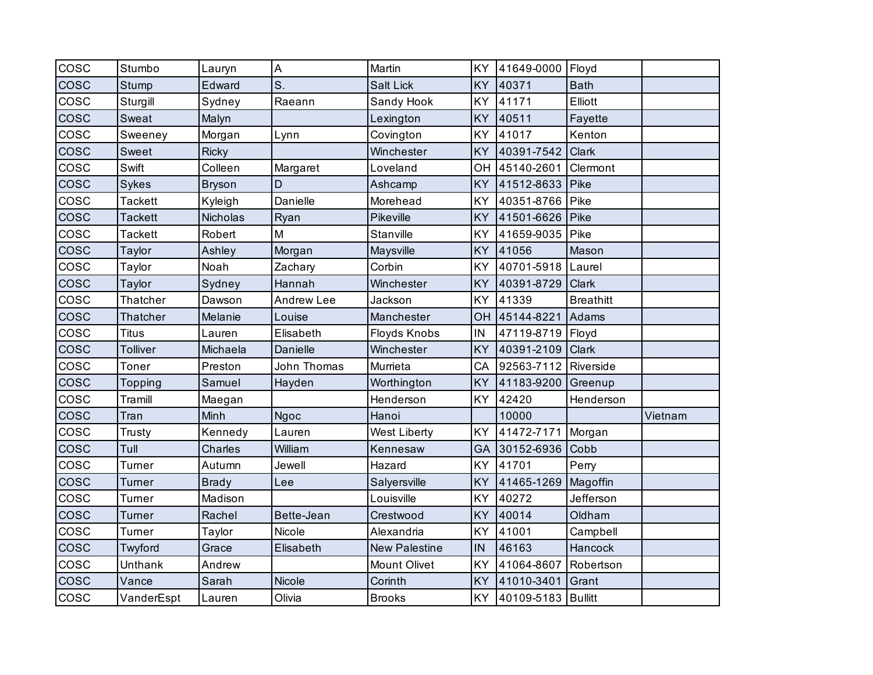| cosc        | Stumbo          | Lauryn        | A                 | Martin               | KY        | 41649-0000         | Floyd            |         |
|-------------|-----------------|---------------|-------------------|----------------------|-----------|--------------------|------------------|---------|
| cosc        | Stump           | Edward        | S.                | <b>Salt Lick</b>     | KY        | 40371              | <b>Bath</b>      |         |
| cosc        | Sturgill        | Sydney        | Raeann            | Sandy Hook           | KY        | 41171              | Elliott          |         |
| COSC        | Sweat           | Malyn         |                   | Lexington            | <b>KY</b> | 40511              | Fayette          |         |
| COSC        | Sweeney         | Morgan        | Lynn              | Covington            | KY        | 41017              | Kenton           |         |
| <b>COSC</b> | Sweet           | <b>Ricky</b>  |                   | Winchester           | KY        | 40391-7542         | Clark            |         |
| COSC        | Swift           | Colleen       | Margaret          | Loveland             | OH        | 45140-2601         | Clermont         |         |
| cosc        | Sykes           | <b>Bryson</b> | D                 | Ashcamp              | KY        | 41512-8633         | Pike             |         |
| COSC        | <b>Tackett</b>  | Kyleigh       | Danielle          | Morehead             | KY        | 40351-8766         | Pike             |         |
| <b>COSC</b> | <b>Tackett</b>  | Nicholas      | Ryan              | Pikeville            | KY        | 41501-6626         | Pike             |         |
| cosc        | <b>Tackett</b>  | Robert        | M                 | Stanville            | KY        | 41659-9035         | Pike             |         |
| COSC        | Taylor          | Ashley        | Morgan            | Maysville            | KY        | 41056              | Mason            |         |
| COSC        | Taylor          | Noah          | Zachary           | Corbin               | KY        | 40701-5918         | Laurel           |         |
| <b>COSC</b> | Taylor          | Sydney        | Hannah            | Winchester           | KY        | 40391-8729         | Clark            |         |
| cosc        | Thatcher        | Dawson        | <b>Andrew Lee</b> | Jackson              | KY        | 41339              | <b>Breathitt</b> |         |
| <b>COSC</b> | Thatcher        | Melanie       | Louise            | Manchester           | OH        | 45144-8221         | Adams            |         |
| cosc        | <b>Titus</b>    | Lauren        | Elisabeth         | <b>Floyds Knobs</b>  | IN        | 47119-8719         | Floyd            |         |
| cosc        | <b>Tolliver</b> | Michaela      | Danielle          | Winchester           | KY        | 40391-2109         | Clark            |         |
| cosc        | Toner           | Preston       | John Thomas       | Murrieta             | CA        | 92563-7112         | Riverside        |         |
| <b>COSC</b> | Topping         | Samuel        | Hayden            | Worthington          | KY        | 41183-9200         | Greenup          |         |
| cosc        | Tramill         | Maegan        |                   | Henderson            | KY        | 42420              | Henderson        |         |
| <b>COSC</b> | Tran            | Minh          | Ngoc              | Hanoi                |           | 10000              |                  | Vietnam |
| cosc        | Trusty          | Kennedy       | Lauren            | <b>West Liberty</b>  | KY        | 41472-7171         | Morgan           |         |
| COSC        | Tull            | Charles       | William           | Kennesaw             | GA        | 30152-6936         | Cobb             |         |
| cosc        | Turner          | Autumn        | Jewell            | Hazard               | KY        | 41701              | Perry            |         |
| cosc        | Turner          | <b>Brady</b>  | Lee               | Salyersville         | KY        | 41465-1269         | Magoffin         |         |
| cosc        | Turner          | Madison       |                   | Louisville           | KY        | 40272              | Jefferson        |         |
| COSC        | Turner          | Rachel        | Bette-Jean        | Crestwood            | KY        | 40014              | Oldham           |         |
| cosc        | Turner          | Taylor        | Nicole            | Alexandria           | KY        | 41001              | Campbell         |         |
| cosc        | Twyford         | Grace         | Elisabeth         | <b>New Palestine</b> | IN        | 46163              | Hancock          |         |
| cosc        | Unthank         | Andrew        |                   | <b>Mount Olivet</b>  | KY        | 41064-8607         | Robertson        |         |
| <b>COSC</b> | Vance           | Sarah         | Nicole            | Corinth              | KY        | 41010-3401         | Grant            |         |
| cosc        | VanderEspt      | Lauren        | Olivia            | <b>Brooks</b>        | KY        | 40109-5183 Bullitt |                  |         |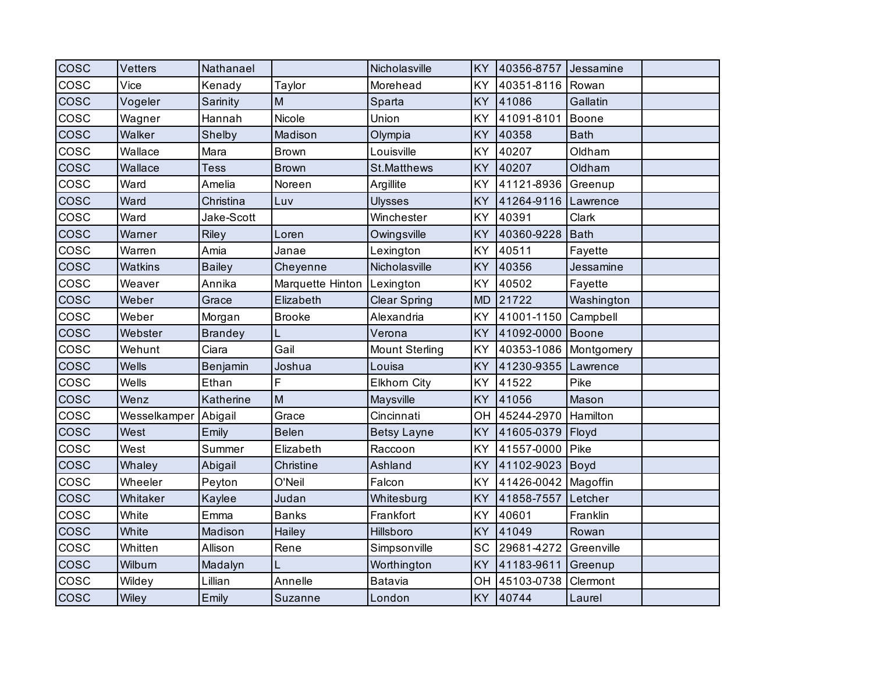| cosc        | Vetters      | Nathanael      |                              | Nicholasville         | KY        | 40356-8757          | Jessamine   |  |
|-------------|--------------|----------------|------------------------------|-----------------------|-----------|---------------------|-------------|--|
| <b>COSC</b> | Vice         | Kenady         | Taylor                       | Morehead              | KY        | 40351-8116          | Rowan       |  |
| <b>COSC</b> | Vogeler      | Sarinity       | M                            | Sparta                | <b>KY</b> | 41086               | Gallatin    |  |
| COSC        | Wagner       | Hannah         | Nicole                       | Union                 | KY        | 41091-8101          | Boone       |  |
| <b>COSC</b> | Walker       | Shelby         | Madison                      | Olympia               | KY        | 40358               | <b>Bath</b> |  |
| cosc        | Wallace      | Mara           | <b>Brown</b>                 | Louisville            | KY        | 40207               | Oldham      |  |
| <b>COSC</b> | Wallace      | Tess           | <b>Brown</b>                 | <b>St.Matthews</b>    | KY        | 40207               | Oldham      |  |
| COSC        | Ward         | Amelia         | Noreen                       | Argillite             | KY        | 41121-8936          | Greenup     |  |
| <b>COSC</b> | Ward         | Christina      | Luv                          | <b>Ulysses</b>        | KY        | 41264-9116          | Lawrence    |  |
| cosc        | Ward         | Jake-Scott     |                              | Winchester            | KY        | 40391               | Clark       |  |
| cosc        | Warner       | Riley          | Loren                        | Owingsville           | KY        | 40360-9228          | Bath        |  |
| COSC        | Warren       | Amia           | Janae                        | Lexington             | KY        | 40511               | Fayette     |  |
| <b>COSC</b> | Watkins      | <b>Bailey</b>  | Cheyenne                     | Nicholasville         | KY        | 40356               | Jessamine   |  |
| COSC        | Weaver       | Annika         | Marquette Hinton   Lexington |                       | KY        | 40502               | Fayette     |  |
| cosc        | Weber        | Grace          | Elizabeth                    | <b>Clear Spring</b>   | <b>MD</b> | 21722               | Washington  |  |
| cosc        | Weber        | Morgan         | <b>Brooke</b>                | Alexandria            | KY        | 41001-1150          | Campbell    |  |
| <b>COSC</b> | Webster      | <b>Brandey</b> |                              | Verona                | KY        | 41092-0000          | Boone       |  |
| cosc        | Wehunt       | Ciara          | Gail                         | <b>Mount Sterling</b> | KY        | 40353-1086          | Montgomery  |  |
| cosc        | Wells        | Benjamin       | Joshua                       | Louisa                | KY        | 41230-9355          | Lawrence    |  |
| cosc        | Wells        | Ethan          | F                            | <b>Elkhorn City</b>   | KY        | 41522               | Pike        |  |
| <b>COSC</b> | Wenz         | Katherine      | M                            | Maysville             | KY        | 41056               | Mason       |  |
| COSC        | Wesselkamper | Abigail        | Grace                        | Cincinnati            | OH        | 45244-2970          | Hamilton    |  |
| cosc        | West         | Emily          | <b>Belen</b>                 | <b>Betsy Layne</b>    | KY        | 41605-0379          | Floyd       |  |
| COSC        | West         | Summer         | Elizabeth                    | Raccoon               | KY        | 41557-0000          | Pike        |  |
| <b>COSC</b> | Whaley       | Abigail        | Christine                    | Ashland               | <b>KY</b> | 41102-9023          | Boyd        |  |
| cosc        | Wheeler      | Peyton         | O'Neil                       | Falcon                | KY        | 41426-0042 Magoffin |             |  |
| COSC        | Whitaker     | Kaylee         | Judan                        | Whitesburg            | KY        | 41858-7557          | Letcher     |  |
| COSC        | White        | Emma           | <b>Banks</b>                 | Frankfort             | KY        | 40601               | Franklin    |  |
| <b>COSC</b> | White        | Madison        | Hailey                       | Hillsboro             | KY        | 41049               | Rowan       |  |
| COSC        | Whitten      | Allison        | Rene                         | Simpsonville          | SC        | 29681-4272          | Greenville  |  |
| <b>COSC</b> | Wilburn      | Madalyn        |                              | Worthington           | KY        | 41183-9611          | Greenup     |  |
| COSC        | Wildey       | Lillian        | Annelle                      | Batavia               | OH        | 45103-0738          | Clermont    |  |
| <b>COSC</b> | Wiley        | Emily          | Suzanne                      | London                | KY        | 40744               | Laurel      |  |